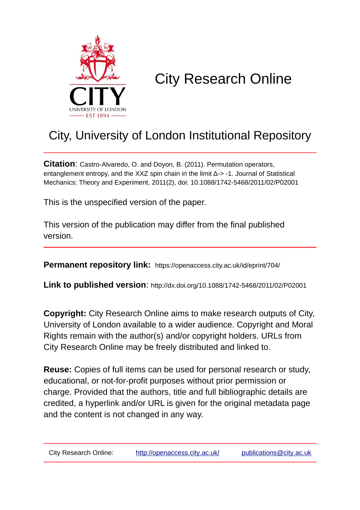

# City Research Online

# City, University of London Institutional Repository

**Citation**: Castro-Alvaredo, O. and Doyon, B. (2011). Permutation operators, entanglement entropy, and the XXZ spin chain in the limit Δ-> -1. Journal of Statistical Mechanics: Theory and Experiment, 2011(2), doi: 10.1088/1742-5468/2011/02/P02001

This is the unspecified version of the paper.

This version of the publication may differ from the final published version.

**Permanent repository link:** https://openaccess.city.ac.uk/id/eprint/704/

**Link to published version**: http://dx.doi.org/10.1088/1742-5468/2011/02/P02001

**Copyright:** City Research Online aims to make research outputs of City, University of London available to a wider audience. Copyright and Moral Rights remain with the author(s) and/or copyright holders. URLs from City Research Online may be freely distributed and linked to.

**Reuse:** Copies of full items can be used for personal research or study, educational, or not-for-profit purposes without prior permission or charge. Provided that the authors, title and full bibliographic details are credited, a hyperlink and/or URL is given for the original metadata page and the content is not changed in any way.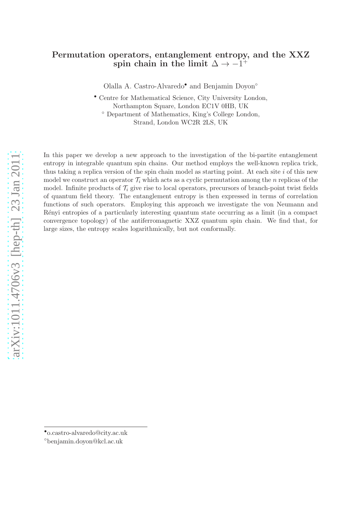## Permutation operators, entanglement entropy, and the XXZ spin chain in the limit  $\Delta \rightarrow -1^+$

Olalla A. Castro-Alvaredo• and Benjamin Doyon◦

• Centre for Mathematical Science, City University London, Northampton Square, London EC1V 0HB, UK

◦ Department of Mathematics, King's College London, Strand, London WC2R 2LS, UK

In this paper we develop a new approach to the investigation of the bi-partite entanglement entropy in integrable quantum spin chains. Our method employs the well-known replica trick, thus taking a replica version of the spin chain model as starting point. At each site  $i$  of this new model we construct an operator  $\mathcal{T}_i$  which acts as a cyclic permutation among the n replicas of the model. Infinite products of  $\mathcal{T}_i$  give rise to local operators, precursors of branch-point twist fields of quantum field theory. The entanglement entropy is then expressed in terms of correlation functions of such operators. Employing this approach we investigate the von Neumann and R´enyi entropies of a particularly interesting quantum state occurring as a limit (in a compact convergence topology) of the antiferromagnetic XXZ quantum spin chain. We find that, for large sizes, the entropy scales logarithmically, but not conformally.

<sup>◦</sup>benjamin.doyon@kcl.ac.uk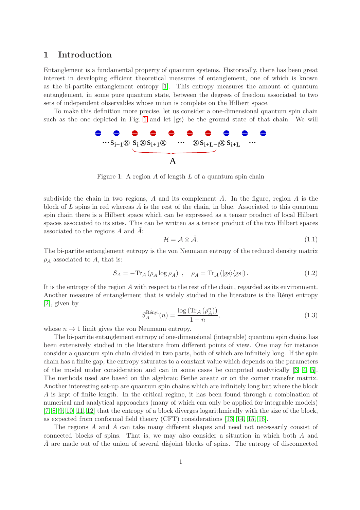### 1 Introduction

Entanglement is a fundamental property of quantum systems. Historically, there has been great interest in developing efficient theoretical measures of entanglement, one of which is known as the bi-partite entanglement entropy [\[1\]](#page-28-0). This entropy measures the amount of quantum entanglement, in some pure quantum state, between the degrees of freedom associated to two sets of independent observables whose union is complete on the Hilbert space.

To make this definition more precise, let us consider a one-dimensional quantum spin chain such as the one depicted in Fig. [1](#page-2-0) and let  $|gs\rangle$  be the ground state of that chain. We will



<span id="page-2-0"></span>Figure 1: A region  $A$  of length  $L$  of a quantum spin chain

subdivide the chain in two regions, A and its complement  $\overline{A}$ . In the figure, region A is the block of  $L$  spins in red whereas  $A$  is the rest of the chain, in blue. Associated to this quantum spin chain there is a Hilbert space which can be expressed as a tensor product of local Hilbert spaces associated to its sites. This can be written as a tensor product of the two Hilbert spaces associated to the regions  $A$  and  $A$ :

$$
\mathcal{H} = \mathcal{A} \otimes \bar{\mathcal{A}}.\tag{1.1}
$$

The bi-partite entanglement entropy is the von Neumann entropy of the reduced density matrix  $\rho_A$  associated to A, that is:

<span id="page-2-1"></span>
$$
S_A = -\text{Tr}_{\mathcal{A}}\left(\rho_A \log \rho_A\right) , \quad \rho_A = \text{Tr}_{\bar{\mathcal{A}}} \left(|\text{gs}\rangle\langle\text{gs}|\right). \tag{1.2}
$$

It is the entropy of the region A with respect to the rest of the chain, regarded as its environment. Another measure of entanglement that is widely studied in the literature is the Rényi entropy [\[2\]](#page-28-1), given by

<span id="page-2-2"></span>
$$
S_A^{\text{Rényi}}(n) = \frac{\log\left(\text{Tr}_{\mathcal{A}}\left(\rho_A^n\right)\right)}{1 - n},\tag{1.3}
$$

whose  $n \to 1$  limit gives the von Neumann entropy.

The bi-partite entanglement entropy of one-dimensional (integrable) quantum spin chains has been extensively studied in the literature from different points of view. One may for instance consider a quantum spin chain divided in two parts, both of which are infinitely long. If the spin chain has a finite gap, the entropy saturates to a constant value which depends on the parameters of the model under consideration and can in some cases be computed analytically [\[3,](#page-28-2) [4,](#page-28-3) [5\]](#page-29-0). The methods used are based on the algebraic Bethe ansatz or on the corner transfer matrix. Another interesting set-up are quantum spin chains which are infinitely long but where the block A is kept of finite length. In the critical regime, it has been found through a combination of numerical and analytical approaches (many of which can only be applied for integrable models) [\[7,](#page-29-1) [8,](#page-29-2) [9,](#page-29-3) [10,](#page-29-4) [11,](#page-29-5) [12\]](#page-29-6) that the entropy of a block diverges logarithmically with the size of the block, as expected from conformal field theory (CFT) considerations [\[13,](#page-29-7) [14,](#page-29-8) [15,](#page-29-9) [16\]](#page-29-10).

The regions A and  $\overline{A}$  can take many different shapes and need not necessarily consist of connected blocks of spins. That is, we may also consider a situation in which both A and A are made out of the union of several disjoint blocks of spins. The entropy of disconnected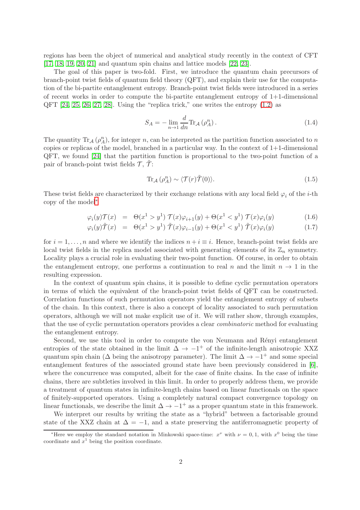regions has been the object of numerical and analytical study recently in the context of CFT [\[17,](#page-29-11) [18,](#page-29-12) [19,](#page-29-13) [20,](#page-29-14) [21\]](#page-29-15) and quantum spin chains and lattice models [\[22,](#page-29-16) [23\]](#page-29-17).

The goal of this paper is two-fold. First, we introduce the quantum chain precursors of branch-point twist fields of quantum field theory (QFT), and explain their use for the computation of the bi-partite entanglement entropy. Branch-point twist fields were introduced in a series of recent works in order to compute the bi-partite entanglement entropy of  $1+1$ -dimensional  $QFT$  [\[24,](#page-30-0) [25,](#page-30-1) [26,](#page-30-2) [27,](#page-30-3) [28\]](#page-30-4). Using the "replica trick," one writes the entropy  $(1.2)$  as

$$
S_A = -\lim_{n \to 1} \frac{d}{dn} \text{Tr}_{\mathcal{A}} \left( \rho_A^n \right). \tag{1.4}
$$

The quantity  $\text{Tr}_{\mathcal{A}}(\rho_A^n)$ , for integer n, can be interpreted as the partition function associated to n copies or replicas of the model, branched in a particular way. In the context of  $1+1$ -dimensional QFT, we found [\[24\]](#page-30-0) that the partition function is proportional to the two-point function of a pair of branch-point twist fields  $\mathcal{T}, \tilde{\mathcal{T}}$ :

$$
\operatorname{Tr}_{\mathcal{A}}\left(\rho_A^n\right) \sim \langle \mathcal{T}(r)\tilde{\mathcal{T}}(0)\rangle. \tag{1.5}
$$

These twist fields are characterized by their exchange relations with any local field  $\varphi_i$  of the *i*-th copy of the model[∗](#page-3-0)

<span id="page-3-1"></span>
$$
\varphi_i(y)\mathcal{T}(x) = \Theta(x^1 > y^1) \mathcal{T}(x)\varphi_{i+1}(y) + \Theta(x^1 < y^1) \mathcal{T}(x)\varphi_i(y) \tag{1.6}
$$

$$
\varphi_i(y)\tilde{\mathcal{T}}(x) = \Theta(x^1 > y^1)\,\tilde{\mathcal{T}}(x)\varphi_{i-1}(y) + \Theta(x^1 < y^1)\,\tilde{\mathcal{T}}(x)\varphi_i(y) \tag{1.7}
$$

for  $i = 1, \ldots, n$  and where we identify the indices  $n + i \equiv i$ . Hence, branch-point twist fields are local twist fields in the replica model associated with generating elements of its  $\mathbb{Z}_n$  symmetry. Locality plays a crucial role in evaluating their two-point function. Of course, in order to obtain the entanglement entropy, one performs a continuation to real n and the limit  $n \to 1$  in the resulting expression.

In the context of quantum spin chains, it is possible to define cyclic permutation operators in terms of which the equivalent of the branch-point twist fields of QFT can be constructed. Correlation functions of such permutation operators yield the entanglement entropy of subsets of the chain. In this context, there is also a concept of locality associated to such permutation operators, although we will not make explicit use of it. We will rather show, through examples, that the use of cyclic permutation operators provides a clear combinatoric method for evaluating the entanglement entropy.

Second, we use this tool in order to compute the von Neumann and Rényi entanglement entropies of the state obtained in the limit  $\Delta \rightarrow -1^+$  of the infinite-length anisotropic XXZ quantum spin chain ( $\Delta$  being the anisotropy parameter). The limit  $\Delta \to -1^+$  and some special entanglement features of the associated ground state have been previously considered in [\[6\]](#page-29-18), where the concurrence was computed, albeit for the case of finite chains. In the case of infinite chains, there are subtleties involved in this limit. In order to properly address them, we provide a treatment of quantum states in infinite-length chains based on linear functionals on the space of finitely-supported operators. Using a completely natural compact convergence topology on linear functionals, we describe the limit  $\Delta \to -1^+$  as a proper quantum state in this framework.

We interpret our results by writing the state as a "hybrid" between a factorisable ground state of the XXZ chain at  $\Delta = -1$ , and a state preserving the antiferromagnetic property of

<span id="page-3-0"></span><sup>\*</sup>Here we employ the standard notation in Minkowski space-time:  $x^{\nu}$  with  $\nu = 0, 1$ , with  $x^0$  being the time coordinate and  $x^1$  being the position coordinate.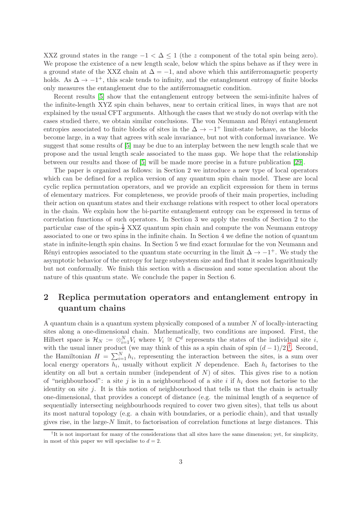XXZ ground states in the range  $-1 < \Delta \leq 1$  (the z component of the total spin being zero). We propose the existence of a new length scale, below which the spins behave as if they were in a ground state of the XXZ chain at  $\Delta = -1$ , and above which this antiferromagnetic property holds. As  $\Delta \to -1^+$ , this scale tends to infinity, and the entanglement entropy of finite blocks only measures the entanglement due to the antiferromagnetic condition.

Recent results [\[5\]](#page-29-0) show that the entanglement entropy between the semi-infinite halves of the infinite-length XYZ spin chain behaves, near to certain critical lines, in ways that are not explained by the usual CFT arguments. Although the cases that we study do not overlap with the cases studied there, we obtain similar conclusions. The von Neumann and Rényi entanglement entropies associated to finite blocks of sites in the  $\Delta \rightarrow -1^+$  limit-state behave, as the blocks become large, in a way that agrees with scale invariance, but not with conformal invariance. We suggest that some results of [\[5\]](#page-29-0) may be due to an interplay between the new length scale that we propose and the usual length scale associated to the mass gap. We hope that the relationship between our results and those of [\[5\]](#page-29-0) will be made more precise in a future publication [\[29\]](#page-30-5).

The paper is organized as follows: in Section 2 we introduce a new type of local operators which can be defined for a replica version of any quantum spin chain model. These are local cyclic replica permutation operators, and we provide an explicit expression for them in terms of elementary matrices. For completeness, we provide proofs of their main properties, including their action on quantum states and their exchange relations with respect to other local operators in the chain. We explain how the bi-partite entanglement entropy can be expressed in terms of correlation functions of such operators. In Section 3 we apply the results of Section 2 to the particular case of the spin- $\frac{1}{2}$  XXZ quantum spin chain and compute the von Neumann entropy associated to one or two spins in the infinite chain. In Section 4 we define the notion of quantum state in infinite-length spin chains. In Section 5 we find exact formulae for the von Neumann and Rényi entropies associated to the quantum state occurring in the limit  $\Delta \to -1^+$ . We study the asymptotic behavior of the entropy for large subsystem size and find that it scales logarithmically but not conformally. We finish this section with a discussion and some speculation about the nature of this quantum state. We conclude the paper in Section 6.

## <span id="page-4-1"></span>2 Replica permutation operators and entanglement entropy in quantum chains

A quantum chain is a quantum system physically composed of a number N of locally-interacting sites along a one-dimensional chain. Mathematically, two conditions are imposed. First, the Hilbert space is  $\mathcal{H}_N := \otimes_{i=1}^N V_i$  where  $V_i \cong \mathbb{C}^d$  represents the states of the individual site *i*, with the usual inner product (we may think of this as a spin chain of spin  $(d-1)/2$ )<sup>[†](#page-4-0)</sup>. Second, the Hamiltonian  $H = \sum_{i=1}^{N} h_i$ , representing the interaction between the sites, is a sum over local energy operators  $h_i$ , usually without explicit N dependence. Each  $h_i$  factorises to the identity on all but a certain number (independent of  $N$ ) of sites. This gives rise to a notion of "neighbourhood": a site j is in a neighbourhood of a site i if  $h_i$  does not factorise to the identity on site  $j$ . It is this notion of neighbourhood that tells us that the chain is actually one-dimensional, that provides a concept of distance (e.g. the minimal length of a sequence of sequentially intersecting neighbourhoods required to cover two given sites), that tells us about its most natural topology (e.g. a chain with boundaries, or a periodic chain), and that usually gives rise, in the large-N limit, to factorisation of correlation functions at large distances. This

<span id="page-4-0"></span><sup>&</sup>lt;sup>†</sup>It is not important for many of the considerations that all sites have the same dimension; yet, for simplicity, in most of this paper we will specialise to  $d = 2$ .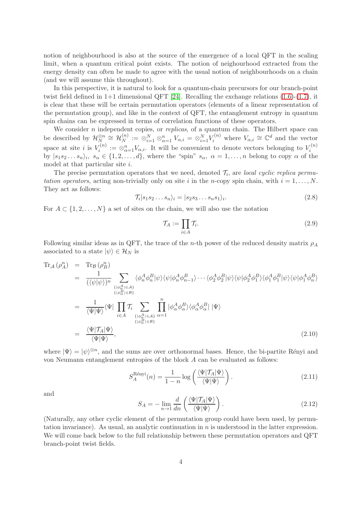notion of neighbourhood is also at the source of the emergence of a local QFT in the scaling limit, when a quantum critical point exists. The notion of neighourhood extracted from the energy density can often be made to agree with the usual notion of neighbourhoods on a chain (and we will assume this throughout).

In this perspective, it is natural to look for a quantum-chain precursors for our branch-point twist field defined in  $1+1$  dimensional QFT [\[24\]](#page-30-0). Recalling the exchange relations [\(1.6\)](#page-3-1)-[\(1.7\)](#page-3-1), it is clear that these will be certain permutation operators (elements of a linear representation of the permutation group), and like in the context of QFT, the entanglement entropy in quantum spin chains can be expressed in terms of correlation functions of these operators.

We consider  $n$  independent copies, or *replicas*, of a quantum chain. The Hilbert space can be described by  $\mathcal{H}_{N}^{\otimes n} \cong \mathcal{H}_{N}^{(n)}$  $N^{(n)}_{N} := \otimes_{i=1}^{N} \otimes_{\alpha=1}^{n} V_{\alpha,i} = \otimes_{i=1}^{N} V_i^{(n)}$  where  $V_{\alpha,i} \cong \mathbb{C}^d$  and the vector space at site *i* is  $V_i^{(n)}$  $V_i^{(n)} := \otimes_{\alpha=1}^n V_{\alpha,i}$ . It will be convenient to denote vectors belonging to  $V_i^{(n)}$ space at site  $i$  is  $v_i$   $\ldots \omega_{\alpha=1} v_{\alpha,i}$ . It will be convenient to denote vectors belonging to  $v_i$ <br>by  $|s_1 s_2 \ldots s_n\rangle_i$ ,  $s_\alpha \in \{1, 2, \ldots, d\}$ , where the "spin"  $s_\alpha$ ,  $\alpha = 1, \ldots, n$  belong to copy  $\alpha$  of the model at that particular site i.

The precise permutation operators that we need, denoted  $\mathcal{T}_i$ , are *local cyclic replica permu*tation operators, acting non-trivially only on site i in the n-copy spin chain, with  $i = 1, \ldots, N$ . They act as follows:

<span id="page-5-0"></span>
$$
\mathcal{T}_i|s_1s_2\ldots s_n\rangle_i = |s_2s_3\ldots s_ns_1\rangle_i.
$$
\n(2.8)

For  $A \subset \{1, 2, ..., N\}$  a set of sites on the chain, we will also use the notation

$$
\mathcal{T}_A := \prod_{i \in A} \mathcal{T}_i. \tag{2.9}
$$

Following similar ideas as in QFT, the trace of the n-th power of the reduced density matrix  $\rho_A$ associated to a state  $|\psi\rangle \in \mathcal{H}_N$  is

$$
\text{Tr}_{\mathcal{A}}\left(\rho_{A}^{n}\right) = \text{Tr}_{\mathcal{B}}\left(\rho_{B}^{n}\right)
$$
\n
$$
= \frac{1}{\left(\langle\psi|\psi\rangle\right)^{n}} \sum_{\substack{\{\downarrow\phi_{\alpha}^{A}\}\in A\}} \langle\phi_{n}^{A}\phi_{n}^{B}|\psi\rangle\langle\psi|\phi_{n}^{A}\phi_{n-1}^{B}\rangle \cdots \langle\phi_{2}^{A}\phi_{2}^{B}|\psi\rangle\langle\psi|\phi_{2}^{A}\phi_{1}^{B}|\psi\rangle\langle\psi|\phi_{1}^{A}\phi_{n}^{B}\rangle
$$
\n
$$
= \frac{1}{\langle\Psi|\Psi\rangle}\langle\Psi|\prod_{i\in A}\mathcal{T}_{i}\sum_{\substack{\{\downarrow\phi_{\alpha}^{A}\}\in A\}} \prod_{\substack{\{\downarrow\phi_{\alpha}^{A}\}\in A\}} \langle\phi_{n}^{A}\phi_{\alpha}^{B}|\phi_{\alpha}^{A}|\phi_{\alpha}^{B}|\rangle\langle\phi_{\alpha}^{A}\phi_{\alpha}^{B}|\Psi\rangle
$$
\n
$$
= \frac{\langle\Psi|\mathcal{T}_{A}|\Psi\rangle}{\langle\Psi|\Psi\rangle}, \tag{2.10}
$$

where  $|\Psi\rangle = |\psi\rangle^{\otimes n}$ , and the sums are over orthonormal bases. Hence, the bi-partite Rényi and von Neumann entanglement entropies of the block A can be evaluated as follows:

$$
S_A^{\text{Rényi}}(n) = \frac{1}{1-n} \log \left( \frac{\langle \Psi | \mathcal{T}_A | \Psi \rangle}{\langle \Psi | \Psi \rangle} \right). \tag{2.11}
$$

and

$$
S_A = -\lim_{n \to 1} \frac{d}{dn} \left( \frac{\langle \Psi | \mathcal{T}_A | \Psi \rangle}{\langle \Psi | \Psi \rangle} \right). \tag{2.12}
$$

(Naturally, any other cyclic element of the permutation group could have been used, by permutation invariance). As usual, an analytic continuation in  $n$  is understood in the latter expression. We will come back below to the full relationship between these permutation operators and QFT branch-point twist fields.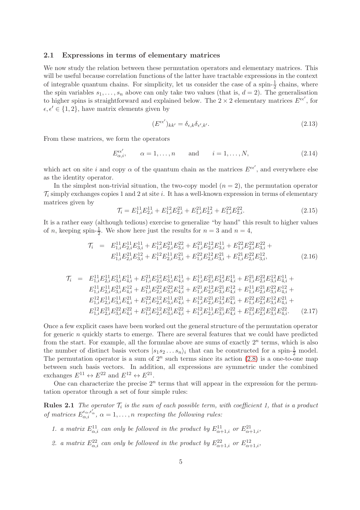#### 2.1 Expressions in terms of elementary matrices

We now study the relation between these permutation operators and elementary matrices. This will be useful because correlation functions of the latter have tractable expressions in the context of integrable quantum chains. For simplicity, let us consider the case of a spin- $\frac{1}{2}$  chains, where the spin variables  $s_1, \ldots, s_n$  above can only take two values (that is,  $d = 2$ ). The generalisation to higher spins is straightforward and explained below. The  $2 \times 2$  elementary matrices  $E^{\epsilon \epsilon'}$ , for  $\epsilon, \epsilon' \in \{1, 2\}$ , have matrix elements given by

<span id="page-6-4"></span>
$$
(E^{\epsilon\epsilon'})_{kk'} = \delta_{\epsilon,k}\delta_{\epsilon',k'}.
$$
\n(2.13)

From these matrices, we form the operators

$$
E_{\alpha,i}^{\epsilon\epsilon'}, \qquad \alpha = 1, \dots, n \qquad \text{and} \qquad i = 1, \dots, N,
$$
\n(2.14)

which act on site i and copy  $\alpha$  of the quantum chain as the matrices  $E^{\epsilon\epsilon'}$ , and everywhere else as the identity operator.

In the simplest non-trivial situation, the two-copy model  $(n = 2)$ , the permutation operator  $\mathcal{T}_i$  simply exchanges copies 1 and 2 at site i. It has a well-known expression in terms of elementary matrices given by

<span id="page-6-0"></span>
$$
\mathcal{T}_i = E_{1,i}^{11} E_{2,i}^{11} + E_{1,i}^{12} E_{2,i}^{21} + E_{1,i}^{21} E_{2,i}^{12} + E_{1,i}^{22} E_{2,i}^{22}.
$$
\n(2.15)

It is a rather easy (although tedious) exercise to generalize "by hand" this result to higher values of *n*, keeping spin- $\frac{1}{2}$ . We show here just the results for  $n = 3$  and  $n = 4$ ,

<span id="page-6-1"></span>
$$
\mathcal{T}_i = E_{1,i}^{11} E_{2,i}^{11} E_{3,i}^{11} + E_{1,i}^{12} E_{2,i}^{21} E_{3,i}^{22} + E_{1,i}^{21} E_{2,i}^{12} E_{3,i}^{11} + E_{1,i}^{22} E_{2,i}^{22} E_{3,i}^{22} + E_{1,i}^{11} E_{2,i}^{21} E_{3,i}^{12} + E_{1,i}^{12} E_{2,i}^{11} E_{3,i}^{21} + E_{1,i}^{22} E_{2,i}^{12} E_{3,i}^{21} + E_{1,i}^{21} E_{2,i}^{22} E_{3,i}^{12}, \tag{2.16}
$$

<span id="page-6-2"></span>
$$
\begin{array}{lll} \mathcal{T}_i&=&E_{1,i}^{11}E_{2,i}^{11}E_{3,i}^{11}E_{4,i}^{11}+E_{1,i}^{21}E_{2,i}^{11}E_{3,i}^{11}E_{4,i}^{11}+E_{1,i}^{11}E_{2,i}^{21}E_{3,i}^{12}E_{4,i}^{11}+E_{1,i}^{21}E_{2,i}^{22}E_{3,i}^{12}E_{4,i}^{11}+\\&&\\&&E_{1,i}^{11}E_{2,i}^{11}E_{3,i}^{21}E_{4,i}^{12}+E_{1,i}^{21}E_{2,i}^{22}E_{3,i}^{22}E_{4,i}^{12}+E_{1,i}^{21}E_{2,i}^{12}E_{3,i}^{21}E_{4,i}^{12}+E_{1,i}^{11}E_{2,i}^{21}E_{3,i}^{22}E_{4,i}^{12}+\\&&E_{1,i}^{12}E_{2,i}^{11}E_{3,i}^{11}E_{4,i}^{21}+E_{1,i}^{22}E_{2,i}^{12}E_{3,i}^{11}E_{4,i}^{21}+E_{1,i}^{12}E_{2,i}^{21}E_{3,i}^{21}E_{4,i}^{21}+E_{1,i}^{22}E_{2,i}^{22}E_{3,i}^{22}E_{4,i}^{21}+\\&&E_{1,i}^{12}E_{2,i}^{21}E_{3,i}^{22}E_{4,i}^{22}+E_{1,i}^{22}E_{2,i}^{21}E_{3,i}^{21}E_{4,i}^{22}+E_{1,i}^{12}E_{2,i}^{11}E_{2,i}^{21}E_{3,i}^{22}E_{4,i}^{22}+\\&&\\&&E_{1,i}^{12}E_{2,i}^{21}E_{3,i}^{22}E_{4,i}^{22}+E_{1,i}^{22}E_{2,i}^{21}E_{3,i}^{22}E_{4,i}^{22}+E_{1,i}^{12}E_{2,i}^{11}E_{2,i}^{21}E_{2,i}^{22}E_{3,i}^{22}E_{4,i}^{22}.\end{array} \eqno{(2.17)}
$$

Once a few explicit cases have been worked out the general structure of the permutation operator for generic n quickly starts to emerge. There are several features that we could have predicted from the start. For example, all the formulae above are sums of exactly  $2^n$  terms, which is also the number of distinct basis vectors  $|s_1s_2...s_n\rangle_i$  that can be constructed for a spin- $\frac{1}{2}$  model. The permutation operator is a sum of  $2^n$  such terms since its action  $(2.8)$  is a one-to-one map between such basis vectors. In addition, all expressions are symmetric under the combined exchanges  $E^{11} \leftrightarrow E^{22}$  and  $E^{12} \leftrightarrow E^{21}$ .

One can characterize the precise  $2^n$  terms that will appear in the expression for the permutation operator through a set of four simple rules:

**Rules 2.1** The operator  $\mathcal{T}_i$  is the sum of each possible term, with coefficient 1, that is a product of matrices  $E_{\alpha,i}^{\epsilon_{\alpha},\epsilon_{\alpha}'}$ ,  $\alpha=1,\ldots,n$  respecting the following rules:

- <span id="page-6-3"></span>1. a matrix  $E^{11}_{\alpha,i}$  can only be followed in the product by  $E^{11}_{\alpha+1,i}$  or  $E^{21}_{\alpha+1,i}$ ,
- 2. a matrix  $E_{\alpha,i}^{22}$  can only be followed in the product by  $E_{\alpha+1,i}^{22}$  or  $E_{\alpha+1,i}^{12}$ ,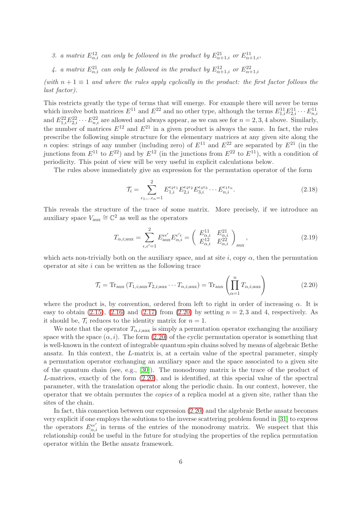- 3. a matrix  $E^{12}_{\alpha,i}$  can only be followed in the product by  $E^{21}_{\alpha+1,i}$  or  $E^{11}_{\alpha+1,i}$ ,
- 4. a matrix  $E_{\alpha,i}^{21}$  can only be followed in the product by  $E_{\alpha+1,i}^{12}$  or  $E_{\alpha+1,i}^{22}$

(with  $n + 1 \equiv 1$  and where the rules apply cyclically in the product: the first factor follows the last factor).

This restricts greatly the type of terms that will emerge. For example there will never be terms which involve both matrices  $E^{11}$  and  $E^{22}$  and no other type, although the terms  $E^{11}_{1,i}E^{11}_{2,i} \cdots E^{11}_{n,i}$ <br>and  $E^{22}_{1,i}E^{22}_{2,i} \cdots E^{22}_{n,i}$  are allowed and always appear, as we can see for  $n = 2, 3, 4$  above. Si the number of matrices  $E^{12}$  and  $E^{21}$  in a given product is always the same. In fact, the rules prescribe the following simple structure for the elementary matrices at any given site along the n copies: strings of any number (including zero) of  $E^{11}$  and  $E^{22}$  are separated by  $E^{21}$  (in the junctions from  $E^{11}$  to  $E^{22}$ ) and by  $E^{12}$  (in the junctions from  $E^{22}$  to  $E^{11}$ ), with a condition of periodicity. This point of view will be very useful in explicit calculations below.

The rules above immediately give an expression for the permutation operator of the form

<span id="page-7-1"></span>
$$
\mathcal{T}_{i} = \sum_{\epsilon_{1}, \dots \epsilon_{n} = 1}^{2} E_{1,i}^{\epsilon_{2}\epsilon_{1}} E_{2,i}^{\epsilon_{3}\epsilon_{2}} E_{3,i}^{\epsilon_{4}\epsilon_{3}} \cdots E_{n,i}^{\epsilon_{1}\epsilon_{n}}.
$$
\n(2.18)

This reveals the structure of the trace of some matrix. More precisely, if we introduce an auxiliary space  $V_{\text{aux}} \cong \mathbb{C}^2$  as well as the operators

$$
T_{\alpha,i;\text{aux}} = \sum_{\epsilon,\epsilon'=1}^{2} E_{\text{aux}}^{\epsilon\epsilon'} E_{\alpha,i}^{\epsilon'\epsilon} = \begin{pmatrix} E_{\alpha,i}^{11} & E_{\alpha,i}^{21} \\ E_{\alpha,i}^{12} & E_{\alpha,i}^{22} \end{pmatrix}_{\text{aux}},\tag{2.19}
$$

which acts non-trivially both on the auxiliary space, and at site i, copy  $\alpha$ , then the permutation operator at site  $i$  can be written as the following trace

<span id="page-7-0"></span>
$$
\mathcal{T}_i = \text{Tr}_{\text{aux}}\left(T_{1,i;\text{aux}}T_{2,i;\text{aux}}\cdots T_{n,i;\text{aux}}\right) = \text{Tr}_{\text{aux}}\left(\prod_{\alpha=1}^n T_{\alpha,i;\text{aux}}\right) \tag{2.20}
$$

where the product is, by convention, ordered from left to right in order of increasing  $\alpha$ . It is easy to obtain  $(2.15)$ ,  $(2.16)$  and  $(2.17)$  from  $(2.20)$  by setting  $n = 2, 3$  and 4, respectively. As it should be,  $\mathcal{T}_i$  reduces to the identity matrix for  $n = 1$ .

We note that the operator  $T_{\alpha,i;\text{aux}}$  is simply a permutation operator exchanging the auxiliary space with the space  $(\alpha, i)$ . The form [\(2.20\)](#page-7-0) of the cyclic permutation operator is something that is well-known in the context of integrable quantum spin chains solved by means of algebraic Bethe ansatz. In this context, the L-matrix is, at a certain value of the spectral parameter, simply a permutation operator exchanging an auxiliary space and the space associated to a given site of the quantum chain (see, e.g., [\[30\]](#page-30-6)). The monodromy matrix is the trace of the product of L-matrices, exactly of the form [\(2.20\)](#page-7-0), and is identified, at this special value of the spectral parameter, with the translation operator along the periodic chain. In our context, however, the operator that we obtain permutes the copies of a replica model at a given site, rather than the sites of the chain.

In fact, this connection between our expression [\(2.20\)](#page-7-0) and the algebraic Bethe ansatz becomes very explicit if one employs the solutions to the inverse scattering problem found in [\[31\]](#page-30-7) to express the operators  $E_{\alpha,i}^{\epsilon\epsilon'}$  in terms of the entries of the monodromy matrix. We suspect that this relationship could be useful in the future for studying the properties of the replica permutation operator within the Bethe ansatz framework.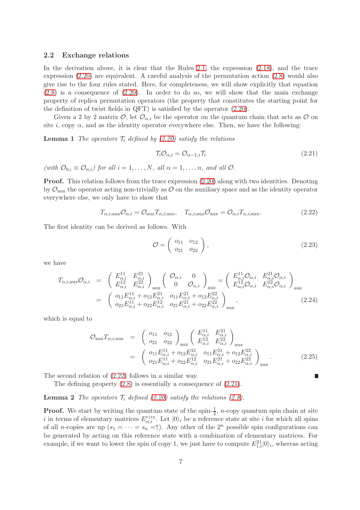#### 2.2 Exchange relations

In the derivation above, it is clear that the Rules [2.1,](#page-6-3) the expression [\(2.18\)](#page-7-1), and the trace expression [\(2.20\)](#page-7-0) are equivalent. A careful analysis of the permutation action [\(2.8\)](#page-5-0) would also give rise to the four rules stated. Here, for completeness, we will show explicitly that equation  $(2.8)$  is a consequence of  $(2.20)$ . In order to do so, we will show that the main exchange property of replica permutation operators (the property that constitutes the starting point for the definition of twist fields in QFT) is satisfied by the operator [\(2.20\)](#page-7-0).

Given a 2 by 2 matrix  $\mathcal{O}$ , let  $\mathcal{O}_{\alpha,i}$  be the operator on the quantum chain that acts as  $\mathcal O$  on site i, copy  $\alpha$ , and as the identity operator everywhere else. Then, we have the following:

**Lemma 1** The operators  $\mathcal{T}_i$  defined by [\(2.20\)](#page-7-0) satisfy the relations

<span id="page-8-1"></span>
$$
\mathcal{T}_{i}\mathcal{O}_{\alpha,i} = \mathcal{O}_{\alpha-1,i}\mathcal{T}_{i}
$$
\n(2.21)

(with  $\mathcal{O}_{0,i} \equiv \mathcal{O}_{n,i}$ ) for all  $i = 1, \ldots, N$ , all  $\alpha = 1, \ldots, n$ , and all  $\mathcal{O}$ .

Proof. This relation follows from the trace expression [\(2.20\)](#page-7-0) along with two identities. Denoting by  $\mathcal{O}_{aux}$  the operator acting non-trivially as  $\mathcal O$  on the auxiliary space and as the identity operator everywhere else, we only have to show that

<span id="page-8-0"></span>
$$
T_{\alpha,i;\text{aux}}\mathcal{O}_{\alpha,i} = \mathcal{O}_{\text{aux}}T_{\alpha,i;\text{aux}}, \quad T_{\alpha,i;\text{aux}}\mathcal{O}_{\text{aux}} = \mathcal{O}_{\alpha,i}T_{\alpha,i;\text{aux}}.\tag{2.22}
$$

The first identity can be derived as follows. With

$$
\mathcal{O} = \left( \begin{array}{cc} o_{11} & o_{12} \\ o_{21} & o_{22} \end{array} \right), \tag{2.23}
$$

П

we have

$$
T_{\alpha,i;\text{aux}}\mathcal{O}_{\alpha,i} = \begin{pmatrix} E_{\alpha,i}^{11} & E_{\alpha,i}^{21} \\ E_{\alpha,i}^{12} & E_{\alpha,i}^{22} \\ \vdots & \vdots \\ E_{\alpha,i}^{11} + o_{12}E_{\alpha,i}^{21} & o_{11}E_{\alpha,i}^{21} + o_{12}E_{\alpha,i}^{22} \\ o_{21}E_{\alpha,i}^{11} + o_{22}E_{\alpha,i}^{12} & o_{21}E_{\alpha,i}^{21} + o_{22}E_{\alpha,i}^{22} \\ \end{pmatrix}_{\text{aux}},
$$
\n
$$
= \begin{pmatrix} o_{11}E_{\alpha,i}^{11} + o_{12}E_{\alpha,i}^{21} & o_{11}E_{\alpha,i}^{21} + o_{12}E_{\alpha,i}^{22} \\ o_{21}E_{\alpha,i}^{11} + o_{22}E_{\alpha,i}^{12} & o_{21}E_{\alpha,i}^{21} + o_{22}E_{\alpha,i}^{22} \\ \end{pmatrix}_{\text{aux}},
$$
\n(2.24)

which is equal to

$$
\mathcal{O}_{\text{aux}}T_{\alpha,i;\text{aux}} = \begin{pmatrix} o_{11} & o_{12} \\ o_{21} & o_{22} \end{pmatrix}_{\text{aux}} \begin{pmatrix} E_{\alpha,i}^{11} & E_{\alpha,i}^{21} \\ E_{\alpha,i}^{12} & E_{\alpha,i}^{22} \end{pmatrix}_{\text{aux}}
$$

$$
= \begin{pmatrix} o_{11}E_{\alpha,i}^{11} + o_{12}E_{\alpha,i}^{21} & o_{11}E_{\alpha,i}^{21} + o_{12}E_{\alpha,i}^{22} \\ o_{21}E_{\alpha,i}^{11} + o_{22}E_{\alpha,i}^{12} & o_{21}E_{\alpha,i}^{21} + o_{22}E_{\alpha,i}^{22} \end{pmatrix}_{\text{aux}}.
$$
(2.25)

The second relation of [\(2.22\)](#page-8-0) follows in a similar way.

The defining property [\(2.8\)](#page-5-0) is essentially a consequence of [\(2.21\)](#page-8-1).

#### **Lemma 2** The operators  $\mathcal{T}_i$  defined [\(2.20\)](#page-7-0) satisfy the relations [\(2.8\)](#page-5-0).

**Proof.** We start by writing the quantum state of the spin- $\frac{1}{2}$ , *n*-copy quantum spin chain at site i in terms of elementary matrices  $E_{\alpha,i}^{\epsilon_1\epsilon_2}$ . Let  $|0\rangle_i$  be a reference state at site i for which all spins of all *n*-copies are up  $(s_1 = \cdots = s_n = \uparrow)$ . Any other of the  $2^n$  possible spin configurations can be generated by acting on this reference state with a combination of elementary matrices. For example, if we want to lower the spin of copy 1, we just have to compute  $E_{1,i}^{21}|0\rangle_i$ , whereas acting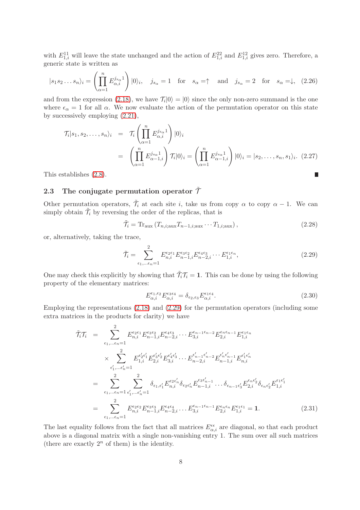with  $E_{1,i}^{11}$  will leave the state unchanged and the action of  $E_{1,i}^{22}$  and  $E_{1,i}^{12}$  gives zero. Therefore, a generic state is written as

$$
|s_1 s_2 \dots s_n\rangle_i = \left(\prod_{\alpha=1}^n E_{\alpha,i}^{j_{s_\alpha} 1}\right)|0\rangle_i, \quad j_{s_\alpha} = 1 \quad \text{for} \quad s_\alpha = \uparrow \quad \text{and} \quad j_{s_\alpha} = 2 \quad \text{for} \quad s_\alpha = \downarrow, \tag{2.26}
$$

and from the expression [\(2.18\)](#page-7-1), we have  $\mathcal{T}_i|0\rangle = |0\rangle$  since the only non-zero summand is the one where  $\epsilon_{\alpha} = 1$  for all  $\alpha$ . We now evaluate the action of the permutation operator on this state by successively employing [\(2.21\)](#page-8-1),

$$
\mathcal{T}_i|s_1, s_2, \dots, s_n\rangle_i = \mathcal{T}_i \left( \prod_{\alpha=1}^n E_{\alpha,i}^{j_{s_\alpha}1} \right) |0\rangle_i
$$
  
\n
$$
= \left( \prod_{\alpha=1}^n E_{\alpha-1,i}^{j_{s_\alpha}1} \right) \mathcal{T}_i|0\rangle_i = \left( \prod_{\alpha=1}^n E_{\alpha-1,i}^{j_{s_\alpha}1} \right) |0\rangle_i = |s_2, \dots, s_n, s_1\rangle_i. \quad (2.27)
$$
  
\nstablishes (2.8).

This establishes [\(2.8\)](#page-5-0).

# 2.3 The conjugate permutation operator  $\tilde{\mathcal{T}}$

Other permutation operators,  $\tilde{\mathcal{T}}_i$  at each site i, take us from copy  $\alpha$  to copy  $\alpha - 1$ . We can simply obtain  $\tilde{\mathcal{T}}_i$  by reversing the order of the replicas, that is

<span id="page-9-1"></span>
$$
\tilde{\mathcal{T}}_i = \text{Tr}_{\text{aux}} \left( T_{n,i;\text{aux}} T_{n-1,i;\text{aux}} \cdots T_{1,i;\text{aux}} \right),\tag{2.28}
$$

or, alternatively, taking the trace,

<span id="page-9-0"></span>
$$
\tilde{\mathcal{T}}_i = \sum_{\epsilon_1, \dots \epsilon_n = 1}^2 E_{n,i}^{\epsilon_2 \epsilon_1} E_{n-1,i}^{\epsilon_3 \epsilon_2} E_{n-2,i}^{\epsilon_4 \epsilon_3} \cdots E_{1,i}^{\epsilon_1 \epsilon_n},\tag{2.29}
$$

One may check this explicitly by showing that  $\tilde{\mathcal{T}}_i \mathcal{T}_i = 1$ . This can be done by using the following property of the elementary matrices:

$$
E_{\alpha,i}^{\epsilon_1,\epsilon_2} E_{\alpha,i}^{\epsilon_3 \epsilon_4} = \delta_{\epsilon_2,\epsilon_3} E_{\alpha,i}^{\epsilon_1 \epsilon_4}.
$$
\n(2.30)

Employing the representations [\(2.18\)](#page-7-1) and [\(2.29\)](#page-9-0) for the permutation operators (including some extra matrices in the products for clarity) we have

$$
\tilde{\mathcal{T}}_{i}\mathcal{T}_{i} = \sum_{\epsilon_{1},\ldots\epsilon_{n}=1}^{2} E_{n,i}^{\epsilon_{2}\epsilon_{1}} E_{n-1,i}^{\epsilon_{3}\epsilon_{2}} E_{n-2,i}^{\epsilon_{4}\epsilon_{3}} \cdots E_{3,i}^{\epsilon_{n-1}\epsilon_{n-2}} E_{2,i}^{\epsilon_{n}\epsilon_{n-1}} E_{1,i}^{\epsilon_{1}\epsilon_{n}}
$$
\n
$$
\times \sum_{\epsilon'_{1},\ldots\epsilon'_{n}=1}^{2} E_{1,i}^{\epsilon'_{2}\epsilon'_{1}} E_{2,i}^{\epsilon'_{3}\epsilon'_{2}} E_{3,i}^{\epsilon'_{4}\epsilon'_{3}} \cdots E_{n-2,i}^{\epsilon'_{n-1}\epsilon'_{n-2}} E_{n-1,i}^{\epsilon'_{n}\epsilon'_{n-1}} E_{n,i}^{\epsilon'_{1}\epsilon'_{n}}
$$
\n
$$
= \sum_{\epsilon_{1},\ldots\epsilon_{n}=1}^{2} \sum_{\epsilon'_{1},\ldots\epsilon'_{n}=1}^{2} \delta_{\epsilon_{1},\epsilon'_{1}} E_{n,i}^{\epsilon_{2}\epsilon'_{n}} \delta_{\epsilon_{2}\epsilon'_{n}} E_{n-1,i}^{\epsilon_{3}\epsilon'_{n-1}} \cdots \delta_{\epsilon_{n-1}\epsilon'_{3}} E_{2,i}^{\epsilon_{n}\epsilon'_{2}} \delta_{\epsilon_{n}\epsilon'_{2}} E_{1,i}^{\epsilon_{1}\epsilon'_{1}}
$$
\n
$$
= \sum_{\epsilon_{1},\ldots\epsilon_{n}=1}^{2} E_{n,i}^{\epsilon_{2}\epsilon_{2}} E_{n-1,i}^{\epsilon_{3}\epsilon_{3}} E_{n-2,i}^{\epsilon_{4}\epsilon_{4}} \cdots E_{3,i}^{\epsilon_{n-1}\epsilon_{n-1}} E_{2,i}^{\epsilon_{n}\epsilon_{n}} E_{1,i}^{\epsilon_{1}\epsilon_{1}} = \mathbf{1}.
$$
\n(2.31)

The last equality follows from the fact that all matrices  $E_{\alpha,i}^{\epsilon\epsilon}$  are diagonal, so that each product above is a diagonal matrix with a single non-vanishing entry 1. The sum over all such matrices (there are exactly  $2^n$  of them) is the identity.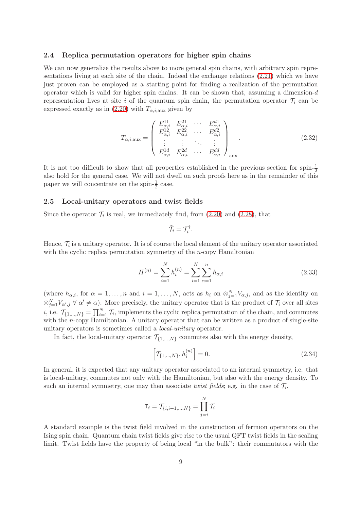#### 2.4 Replica permutation operators for higher spin chains

We can now generalize the results above to more general spin chains, with arbitrary spin representations living at each site of the chain. Indeed the exchange relations [\(2.21\)](#page-8-1) which we have just proven can be employed as a starting point for finding a realization of the permutation operator which is valid for higher spin chains. It can be shown that, assuming a dimension-d representation lives at site i of the quantum spin chain, the permutation operator  $\mathcal{T}_i$  can be expressed exactly as in [\(2.20\)](#page-7-0) with  $T_{\alpha,i;aux}$  given by

$$
T_{\alpha,i;\text{aux}} = \begin{pmatrix} E_{\alpha,i}^{11} & E_{\alpha,i}^{21} & \cdots & E_{\alpha,i}^{d1} \\ E_{\alpha,i}^{12} & E_{\alpha,i}^{22} & \cdots & E_{\alpha,i}^{d2} \\ \vdots & \vdots & \ddots & \vdots \\ E_{\alpha,i}^{1d} & E_{\alpha,i}^{2d} & \cdots & E_{\alpha,i}^{dd} \end{pmatrix}_{\text{aux}} . \tag{2.32}
$$

It is not too difficult to show that all properties established in the previous section for spin- $\frac{1}{2}$ also hold for the general case. We will not dwell on such proofs here as in the remainder of this paper we will concentrate on the spin- $\frac{1}{2}$  case.

#### 2.5 Local-unitary operators and twist fields

Since the operator  $\mathcal{T}_i$  is real, we immediately find, from  $(2.20)$  and  $(2.28)$ , that

$$
\tilde{\mathcal{T}}_i = \mathcal{T}_i^{\dagger}.
$$

Hence,  $\mathcal{T}_i$  is a unitary operator. It is of course the local element of the unitary operator associated with the cyclic replica permutation symmetry of the *n*-copy Hamiltonian

<span id="page-10-0"></span>
$$
H^{(n)} = \sum_{i=1}^{N} h_i^{(n)} = \sum_{i=1}^{N} \sum_{\alpha=1}^{n} h_{\alpha,i}
$$
 (2.33)

(where  $h_{\alpha,i}$ , for  $\alpha = 1, \ldots, n$  and  $i = 1, \ldots, N$ , acts as  $h_i$  on  $\otimes_{j=1}^N V_{\alpha,j}$ , and as the identity on  $\otimes_{j=1}^{N} V_{\alpha',j} \ \forall \alpha' \neq \alpha$ . More precisely, the unitary operator that is the product of  $\mathcal{T}_i$  over all sites *i*, i.e.  $\mathcal{T}_{\{1,\dots,N\}} = \prod_{i=1}^{N} \mathcal{T}_i$ , implements the cyclic replica permutation of the chain, and commutes with the *n*-copy Hamiltonian. A unitary operator that can be written as a product of single-site unitary operators is sometimes called a local-unitary operator.

In fact, the local-unitary operator  $\mathcal{T}_{\{1,\ldots,N\}}$  commutes also with the energy density,

$$
\left[\mathcal{T}_{\{1,\ldots,N\}},h_i^{(n)}\right] = 0.\tag{2.34}
$$

In general, it is expected that any unitary operator associated to an internal symmetry, i.e. that is local-unitary, commutes not only with the Hamiltonian, but also with the energy density. To such an internal symmetry, one may then associate *twist fields*; e.g. in the case of  $\mathcal{T}_i$ ,

$$
\mathrm{T}_i = \mathcal{T}_{\{i,i+1,\ldots,N\}} = \prod_{j=i}^N \mathcal{T}_i.
$$

A standard example is the twist field involved in the construction of fermion operators on the Ising spin chain. Quantum chain twist fields give rise to the usual QFT twist fields in the scaling limit. Twist fields have the property of being local "in the bulk": their commutators with the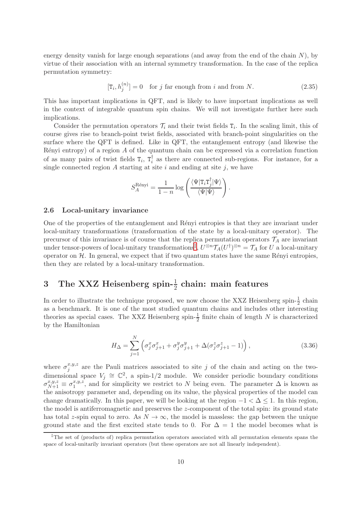energy density vanish for large enough separations (and away from the end of the chain  $N$ ), by virtue of their association with an internal symmetry transformation. In the case of the replica permutation symmetry:

<span id="page-11-2"></span>
$$
[\mathbf{T}_i, h_j^{(n)}] = 0 \quad \text{for } j \text{ far enough from } i \text{ and from } N. \tag{2.35}
$$

This has important implications in QFT, and is likely to have important implications as well in the context of integrable quantum spin chains. We will not investigate further here such implications.

Consider the permutation operators  $\mathcal{T}_i$  and their twist fields  $T_i$ . In the scaling limit, this of course gives rise to branch-point twist fields, associated with branch-point singularities on the surface where the QFT is defined. Like in QFT, the entanglement entropy (and likewise the  $Rényi entropy)$  of a region A of the quantum chain can be expressed via a correlation function of as many pairs of twist fields  $T_i$ ,  $T_i^{\dagger}$  $i<sub>i</sub>$  as there are connected sub-regions. For instance, for a single connected region  $A$  starting at site  $i$  and ending at site  $j$ , we have

$$
S_A^{\text{R\'{e}nyi}} = \frac{1}{1-n} \log \left( \frac{\langle \Psi | \text{T}_i \text{T}_j^{\dagger} | \Psi \rangle}{\langle \Psi | \Psi \rangle} \right).
$$

#### 2.6 Local-unitary invariance

One of the properties of the entanglement and Rényi entropies is that they are invariant under local-unitary transformations (transformation of the state by a local-unitary operator). The precursor of this invariance is of course that the replica permutation operators  $\mathcal{T}_A$  are invariant under tensor-powers of local-unitary transformations<sup>†</sup>,  $U^{\otimes n} \mathcal{T}_A(U^{\dagger})^{\otimes n} = \mathcal{T}_A$  for U a local-unitary operator on  $H$ . In general, we expect that if two quantum states have the same Rényi entropies, then they are related by a local-unitary transformation.

# 3 The XXZ Heisenberg spin- $\frac{1}{2}$  chain: main features

In order to illustrate the technique proposed, we now choose the XXZ Heisenberg spin- $\frac{1}{2}$  chain as a benchmark. It is one of the most studied quantum chains and includes other interesting theories as special cases. The XXZ Heisenberg spin- $\frac{1}{2}$  finite chain of length N is characterized by the Hamiltonian

<span id="page-11-1"></span>
$$
H_{\Delta} = \sum_{j=1}^{N} \left( \sigma_j^x \sigma_{j+1}^x + \sigma_j^y \sigma_{j+1}^y + \Delta(\sigma_j^z \sigma_{j+1}^z - 1) \right),
$$
 (3.36)

where  $\sigma_i^{x,y,z}$  are the Pauli matrices associated to site j of the chain and acting on the twoj dimensional space  $V_j \cong \mathbb{C}^2$ , a spin-1/2 module. We consider periodic boundary conditions  $\sigma_{N+1}^{x,y,z} \equiv \sigma_1^{x,y,z}$  $x,y,z$ , and for simplicity we restrict to N being even. The parameter  $\Delta$  is known as the anisotropy parameter and, depending on its value, the physical properties of the model can change dramatically. In this paper, we will be looking at the region  $-1 < \Delta \leq 1$ . In this region, the model is antiferromagnetic and preserves the z-component of the total spin: its ground state has total z-spin equal to zero. As  $N \to \infty$ , the model is massless: the gap between the unique ground state and the first excited state tends to 0. For  $\Delta = 1$  the model becomes what is

<span id="page-11-0"></span><sup>&</sup>lt;sup>‡</sup>The set of (products of) replica permutation operators associated with all permutation elements spans the space of local-unitarily invariant operators (but these operators are not all linearly independent).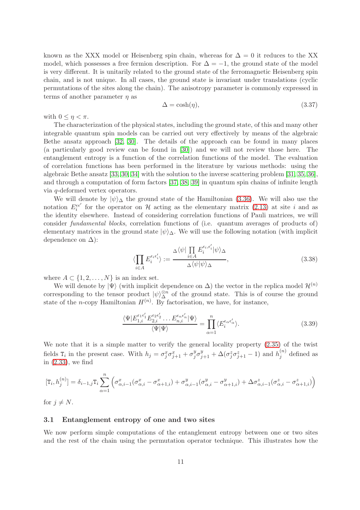known as the XXX model or Heisenberg spin chain, whereas for  $\Delta = 0$  it reduces to the XX model, which possesses a free fermion description. For  $\Delta = -1$ , the ground state of the model is very different. It is unitarily related to the ground state of the ferromagnetic Heisenberg spin chain, and is not unique. In all cases, the ground state is invariant under translations (cyclic permutations of the sites along the chain). The anisotropy parameter is commonly expressed in terms of another parameter  $\eta$  as

$$
\Delta = \cosh(\eta),\tag{3.37}
$$

with  $0 \leq \eta < \pi$ .

The characterization of the physical states, including the ground state, of this and many other integrable quantum spin models can be carried out very effectively by means of the algebraic Bethe ansatz approach [\[32,](#page-30-8) [30\]](#page-30-6). The details of the approach can be found in many places (a particularly good review can be found in [\[30\]](#page-30-6)) and we will not review those here. The entanglement entropy is a function of the correlation functions of the model. The evaluation of correlation functions has been performed in the literature by various methods: using the algebraic Bethe ansatz [\[33,](#page-30-9) [30,](#page-30-6) [34\]](#page-30-10) with the solution to the inverse scattering problem [\[31,](#page-30-7) [35,](#page-30-11) [36\]](#page-30-12), and through a computation of form factors [\[37,](#page-30-13) [38,](#page-30-14) [39\]](#page-30-15) in quantum spin chains of infinite length via q-deformed vertex operators.

We will denote by  $|\psi\rangle_{\Delta}$  the ground state of the Hamiltonian [\(3.36\)](#page-11-1). We will also use the notation  $E_i^{\epsilon\epsilon'}$  for the operator on H acting as the elementary matrix [\(2.13\)](#page-6-4) at site i and as the identity elsewhere. Instead of considering correlation functions of Pauli matrices, we will consider fundamental blocks, correlation functions of (i.e. quantum averages of products of) elementary matrices in the ground state  $|\psi\rangle_{\Delta}$ . We will use the following notation (with implicit dependence on  $\Delta$ ):

$$
\langle \prod_{i \in A} E_i^{\epsilon_i \epsilon'_i} \rangle := \frac{\Delta \langle \psi | \prod_{i \in A} E_i^{\epsilon_i, \epsilon'_i} | \psi \rangle_{\Delta}}{\Delta \langle \psi | \psi \rangle_{\Delta}}, \tag{3.38}
$$

where  $A \subset \{1, 2, \ldots, N\}$  is an index set.

We will denote by  $|\Psi\rangle$  (with implicit dependence on  $\Delta$ ) the vector in the replica model  $\mathcal{H}^{(n)}$ corresponding to the tensor product  $|\psi\rangle_{\Delta}^{\otimes n}$  of the ground state. This is of course the ground state of the *n*-copy Hamiltonian  $H^{(n)}$ . By factorisation, we have, for instance,

<span id="page-12-0"></span>
$$
\frac{\langle \Psi | E_{1,i}^{\epsilon_1 \epsilon'_1} E_{2,i}^{\epsilon_2 \epsilon'_2} \dots E_{n,i}^{\epsilon_n \epsilon'_n} | \Psi \rangle}{\langle \Psi | \Psi \rangle} = \prod_{\alpha=1}^n \langle E_i^{\epsilon_\alpha \epsilon'_\alpha} \rangle.
$$
\n(3.39)

We note that it is a simple matter to verify the general locality property [\(2.35\)](#page-11-2) of the twist fields  $T_i$  in the present case. With  $h_j = \sigma_j^x \sigma_{j+1}^x + \sigma_j^y$  $j^y \sigma_{j+1}^y + \Delta(\sigma_j^z \sigma_{j+1}^z - 1)$  and  $h_j^{(n)}$  $j^{(n)}$  defined as in [\(2.33\)](#page-10-0), we find

$$
[\mathbf{T}_i, h_j^{(n)}] = \delta_{i-1,j} \mathbf{T}_i \sum_{\alpha=1}^n \left( \sigma_{\alpha,i-1}^x (\sigma_{\alpha,i}^x - \sigma_{\alpha+1,i}^x) + \sigma_{\alpha,i-1}^y (\sigma_{\alpha,i}^y - \sigma_{\alpha+1,i}^y) + \Delta \sigma_{\alpha,i-1}^z (\sigma_{\alpha,i}^z - \sigma_{\alpha+1,i}^z) \right)
$$

for  $j \neq N$ .

#### 3.1 Entanglement entropy of one and two sites

We now perform simple computations of the entanglement entropy between one or two sites and the rest of the chain using the permutation operator technique. This illustrates how the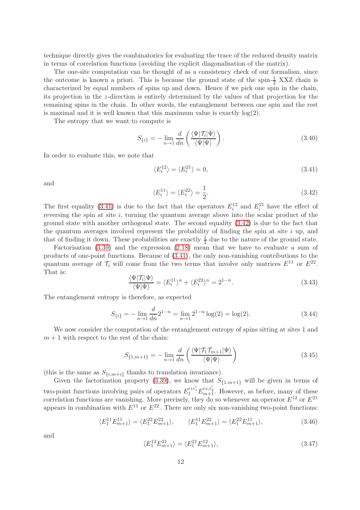technique directly gives the combinatorics for evaluating the trace of the reduced density matrix in terms of correlation functions (avoiding the explicit diagonalisation of the matrix).

The one-site computation can be thought of as a consistency check of our formalism, since the outcome is known a priori. This is because the ground state of the spin- $\frac{1}{2}$  XXZ chain is characterized by equal numbers of spins up and down. Hence if we pick one spin in the chain, its projection in the z-direction is entirely determined by the values of that projection for the remaining spins in the chain. In other words, the entanglement between one spin and the rest is maximal and it is well known that this maximum value is exactly  $log(2)$ .

The entropy that we want to compute is

$$
S_{\{i\}} = -\lim_{n \to 1} \frac{d}{dn} \left( \frac{\langle \Psi | \mathcal{T}_i | \Psi \rangle}{\langle \Psi | \Psi \rangle} \right). \tag{3.40}
$$

In order to evaluate this, we note that

<span id="page-13-0"></span>
$$
\langle E_i^{12} \rangle = \langle E_i^{21} \rangle = 0,\tag{3.41}
$$

and

<span id="page-13-1"></span>
$$
\langle E_i^{11} \rangle = \langle E_i^{22} \rangle = \frac{1}{2}.\tag{3.42}
$$

The first equality [\(3.41\)](#page-13-0) is due to the fact that the operators  $E_i^{12}$  and  $E_i^{21}$  have the effect of reversing the spin at site  $i$ , turning the quantum average above into the scalar product of the ground state with another orthogonal state. The second equality [\(3.42\)](#page-13-1) is due to the fact that the quantum averages involved represent the probability of finding the spin at site  $i$  up, and that of finding it down. These probabilities are exactly  $\frac{1}{2}$  due to the nature of the ground state.

Factorisation [\(3.39\)](#page-12-0) and the expression [\(2.18\)](#page-7-1) mean that we have to evaluate a sum of products of one-point functions. Because of [\(3.41\)](#page-13-0), the only non-vanishing contributions to the quantum average of  $\mathcal{T}_i$  will come from the two terms that involve only matrices  $E^{11}$  or  $E^{22}$ . That is:

$$
\frac{\langle \Psi | \mathcal{T}_i | \Psi \rangle}{\langle \Psi | \Psi \rangle} = \langle E_i^{11} \rangle^n + \langle E_i^{22} \rangle^n = 2^{1-n}.
$$
\n(3.43)

The entanglement entropy is therefore, as expected

$$
S_{\{i\}} = -\lim_{n \to 1} \frac{d}{dn} 2^{1-n} = \lim_{n \to 1} 2^{1-n} \log(2) = \log(2). \tag{3.44}
$$

We now consider the computation of the entanglement entropy of spins sitting at sites 1 and  $m + 1$  with respect to the rest of the chain:

$$
S_{\{1,m+1\}} = -\lim_{n \to 1} \frac{d}{dn} \left( \frac{\langle \Psi | \mathcal{T}_1 \mathcal{T}_{m+1} | \Psi \rangle}{\langle \Psi | \Psi \rangle} \right) \tag{3.45}
$$

(this is the same as  $S_{\{i,m+i\}}$  thanks to translation invariance).

Given the factorization property [\(3.39\)](#page-12-0), we know that  $S_{\{1,m+1\}}$  will be given in terms of two-point functions involving pairs of operators  $E_1^{\epsilon_1 \epsilon'_1} E_{m+1}^{\epsilon_2, \epsilon'_2}$ . However, as before, many of these correlation functions are vanishing. More precisely, they do so whenever an operator  $E^{12}$  or  $E^{21}$ appears in combination with  $E^{11}$  or  $E^{22}$ . There are only six non-vanishing two-point functions:

<span id="page-13-2"></span>
$$
\langle E_1^{11} E_{m+1}^{11} \rangle = \langle E_1^{22} E_{m+1}^{22} \rangle, \qquad \langle E_1^{11} E_{m+1}^{22} \rangle = \langle E_1^{22} E_{m+1}^{11} \rangle, \tag{3.46}
$$

and

<span id="page-13-3"></span>
$$
\langle E_1^{12} E_{m+1}^{21} \rangle = \langle E_1^{21} E_{m+1}^{12} \rangle, \tag{3.47}
$$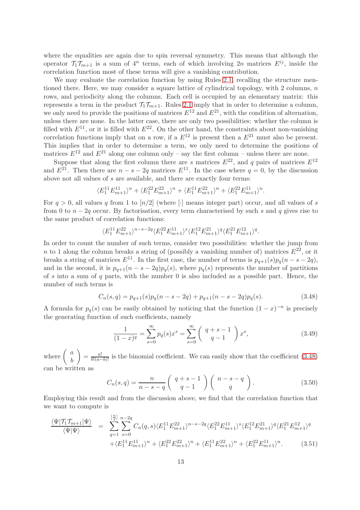where the equalities are again due to spin reversal symmetry. This means that although the operator  $\mathcal{T}_1 \mathcal{T}_{m+1}$  is a sum of  $4^n$  terms, each of which involving  $2n$  matrices  $E^{ij}$ , inside the correlation function most of these terms will give a vanishing contribution.

We may evaluate the correlation function by using Rules [2.1,](#page-6-3) recalling the structure mentioned there. Here, we may consider a square lattice of cylindrical topology, with 2 columns,  $n$ rows, and periodicity along the columns. Each cell is occupied by an elementary matrix: this represents a term in the product  $\mathcal{T}_1 \mathcal{T}_{m+1}$ . Rules [2.1](#page-6-3) imply that in order to determine a column, we only need to provide the positions of matrices  $E^{12}$  and  $E^{21}$ , with the condition of alternation, unless there are none. In the latter case, there are only two possibilities: whether the column is filled with  $E^{11}$ , or it is filled with  $E^{22}$ . On the other hand, the constraints about non-vanishing correlation functions imply that on a row, if a  $E^{12}$  is present then a  $E^{21}$  must also be present. This implies that in order to determine a term, we only need to determine the positions of matrices  $E^{12}$  and  $E^{21}$  along one column only – say the first column – unless there are none.

Suppose that along the first column there are s matrices  $E^{22}$ , and q pairs of matrices  $E^{12}$ and  $E^{21}$ . Then there are  $n - s - 2q$  matrices  $E^{11}$ . In the case where  $q = 0$ , by the discussion above not all values of s are available, and there are exactly four terms:

$$
\langle E^{11}_1 E^{11}_{m+1} \rangle^n + \langle E^{22}_1 E^{22}_{m+1} \rangle^n + \langle E^{11}_1 E^{22}_{m+1} \rangle^n + \langle E^{22}_1 E^{11}_{m+1} \rangle^n.
$$

For  $q > 0$ , all values q from 1 to  $\lfloor n/2 \rfloor$  (where  $\lfloor \cdot \rfloor$  means integer part) occur, and all values of s from 0 to  $n - 2q$  occur. By factorisation, every term characterised by such s and q gives rise to the same product of correlation functions:

$$
\langle E^{11}_1 E^{22}_{m+1} \rangle^{n-s-2q} \langle E^{22}_1 E^{11}_{m+1} \rangle^s \langle E^{12}_1 E^{21}_{m+1} \rangle^q \langle E^{21}_1 E^{12}_{m+1} \rangle^q.
$$

In order to count the number of such terms, consider two possibilities: whether the jump from n to 1 along the column breaks a string of (possibly a vanishing number of) matrices  $E^{22}$ , or it breaks a string of matrices  $E^{11}$ . In the first case, the number of terms is  $p_{q+1}(s)p_q(n-s-2q)$ , and in the second, it is  $p_{q+1}(n-s-2q)p_q(s)$ , where  $p_q(s)$  represents the number of partitions of s into a sum of q parts, with the number 0 is also included as a possible part. Hence, the number of such terms is

<span id="page-14-0"></span>
$$
C_n(s,q) = p_{q+1}(s)p_q(n-s-2q) + p_{q+1}(n-s-2q)p_q(s).
$$
\n(3.48)

A formula for  $p_q(s)$  can be easily obtained by noticing that the function  $(1-x)^{-n}$  is precisely the generating function of such coefficients, namely

$$
\frac{1}{(1-x)^q} = \sum_{s=0}^{\infty} p_q(s) x^s = \sum_{s=0}^{\infty} \binom{q+s-1}{q-1} x^s,
$$
\n(3.49)

where  $\begin{pmatrix} a \\ b \end{pmatrix}$ b  $=\frac{a!}{b!(a-b)!}$  is the binomial coefficient. We can easily show that the coefficient [\(3.48\)](#page-14-0) can be written as

$$
C_n(s,q) = \frac{n}{n-s-q} \left( \begin{array}{c} q+s-1 \\ q-1 \end{array} \right) \left( \begin{array}{c} n-s-q \\ q \end{array} \right). \tag{3.50}
$$

Employing this result and from the discussion above, we find that the correlation function that we want to compute is

$$
\frac{\langle \Psi | \mathcal{T}_1 \mathcal{T}_{m+1} | \Psi \rangle}{\langle \Psi | \Psi \rangle} = \sum_{q=1}^{\left[\frac{n}{2}\right]} \sum_{s=0}^{n-2q} C_n(q,s) \langle E_1^{11} E_{m+1}^{22} \rangle^{n-s-2q} \langle E_1^{22} E_{m+1}^{11} \rangle^s \langle E_1^{12} E_{m+1}^{21} \rangle^q \langle E_1^{21} E_{m+1}^{12} \rangle^q
$$
  
 
$$
+ \langle E_1^{11} E_{m+1}^{11} \rangle^n + \langle E_1^{22} E_{m+1}^{22} \rangle^n + \langle E_1^{11} E_{m+1}^{22} \rangle^n + \langle E_1^{22} E_{m+1}^{11} \rangle^n. \tag{3.51}
$$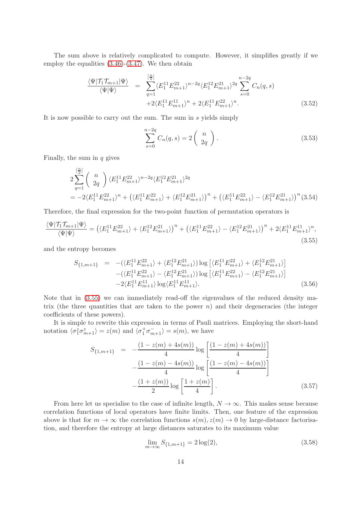The sum above is relatively complicated to compute. However, it simplifies greatly if we employ the equalities [\(3.46\)](#page-13-2)-[\(3.47\)](#page-13-3). We then obtain

$$
\frac{\langle \Psi | \mathcal{T}_1 \mathcal{T}_{m+1} | \Psi \rangle}{\langle \Psi | \Psi \rangle} = \sum_{q=1}^{\left[\frac{n}{2}\right]} \langle E_1^{11} E_{m+1}^{22} \rangle^{n-2q} \langle E_1^{12} E_{m+1}^{21} \rangle^{2q} \sum_{s=0}^{n-2q} C_n(q, s)
$$
  
+2\langle E\_1^{11} E\_{m+1}^{11} \rangle^n + 2\langle E\_1^{11} E\_{m+1}^{22} \rangle^n. (3.52)

It is now possible to carry out the sum. The sum in s yields simply

$$
\sum_{s=0}^{n-2q} C_n(q,s) = 2\left(\begin{array}{c} n \\ 2q \end{array}\right). \tag{3.53}
$$

Finally, the sum in  $q$  gives

$$
\begin{split} &2\sum_{q=1}^{\left[\frac{n}{2}\right]} \left(\begin{array}{c} n\\ 2q \end{array}\right) \langle E_1^{11}E_{m+1}^{22}\rangle^{n-2q}\langle E_1^{12}E_{m+1}^{21}\rangle^{2q}\\ &=-2\langle E_1^{11}E_{m+1}^{22}\rangle^{n}+\left(\langle E_1^{11}E_{m+1}^{22}\rangle+\langle E_1^{12}E_{m+1}^{21}\rangle\right)^n+\left(\langle E_1^{11}E_{m+1}^{22}\rangle-\langle E_1^{12}E_{m+1}^{21}\rangle\right)^n(3.54) \end{split}
$$

Therefore, the final expression for the two-point function of permutation operators is

<span id="page-15-0"></span>
$$
\frac{\langle \Psi | \mathcal{T}_1 \mathcal{T}_{m+1} | \Psi \rangle}{\langle \Psi | \Psi \rangle} = \left( \langle E_1^{11} E_{m+1}^{22} \rangle + \langle E_1^{12} E_{m+1}^{21} \rangle \right)^n + \left( \langle E_1^{11} E_{m+1}^{22} \rangle - \langle E_1^{12} E_{m+1}^{21} \rangle \right)^n + 2 \langle E_1^{11} E_{m+1}^{11} \rangle^n, \tag{3.55}
$$

and the entropy becomes

$$
S_{\{1,m+1\}} = -(\langle E_1^{11} E_{m+1}^{22} \rangle + \langle E_1^{12} E_{m+1}^{21} \rangle) \log \left[ \langle E_1^{11} E_{m+1}^{22} \rangle + \langle E_1^{12} E_{m+1}^{21} \rangle \right] - (\langle E_1^{11} E_{m+1}^{22} \rangle - \langle E_1^{12} E_{m+1}^{21} \rangle) \log \left[ \langle E_1^{11} E_{m+1}^{22} \rangle - \langle E_1^{12} E_{m+1}^{21} \rangle \right] - 2 \langle E_1^{11} E_{m+1}^{11} \rangle \log \langle E_1^{11} E_{m+1}^{11} \rangle.
$$
 (3.56)

Note that in [\(3.55\)](#page-15-0) we can immediately read-off the eigenvalues of the reduced density matrix (the three quantities that are taken to the power  $n$ ) and their degeneracies (the integer coefficients of these powers).

It is simple to rewrite this expression in terms of Pauli matrices. Employing the short-hand notation  $\langle \sigma_1^z \sigma_{m+1}^z \rangle = z(m)$  and  $\langle \sigma_1^+ \sigma_{m+1}^- \rangle = s(m)$ , we have

<span id="page-15-1"></span>
$$
S_{\{1,m+1\}} = -\frac{(1-z(m)+4s(m))}{4} \log\left[\frac{(1-z(m)+4s(m))}{4}\right] -\frac{(1-z(m)-4s(m))}{4} \log\left[\frac{(1-z(m)-4s(m))}{4}\right] -\frac{(1+z(m))}{2} \log\left[\frac{1+z(m)}{4}\right].
$$
\n(3.57)

From here let us specialise to the case of infinite length,  $N \to \infty$ . This makes sense because correlation functions of local operators have finite limits. Then, one feature of the expression above is that for  $m \to \infty$  the correlation functions  $s(m), z(m) \to 0$  by large-distance factorisation, and therefore the entropy at large distances saturates to its maximum value

$$
\lim_{m \to \infty} S_{\{1, m+1\}} = 2 \log(2),\tag{3.58}
$$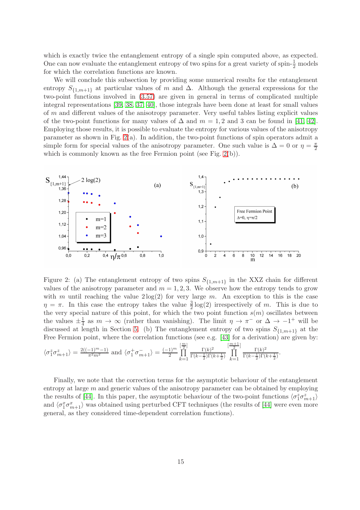which is exactly twice the entanglement entropy of a single spin computed above, as expected. One can now evaluate the entanglement entropy of two spins for a great variety of spin- $\frac{1}{2}$  models for which the correlation functions are known.

We will conclude this subsection by providing some numerical results for the entanglement entropy  $S_{\{1,m+1\}}$  at particular values of m and  $\Delta$ . Although the general expressions for the two-point functions involved in [\(3.57\)](#page-15-1) are given in general in terms of complicated multiple integral representations [\[39,](#page-30-15) [38,](#page-30-14) [37,](#page-30-13) [40\]](#page-30-16), those integrals have been done at least for small values of m and different values of the anisotropy parameter. Very useful tables listing explicit values of the two-point functions for many values of  $\Delta$  and  $m = 1, 2$  and 3 can be found in [\[41,](#page-30-17) [42\]](#page-31-0). Employing those results, it is possible to evaluate the entropy for various values of the anisotropy parameter as shown in Fig. [2\(](#page-16-0)a). In addition, the two-point functions of spin operators admit a simple form for special values of the anisotropy parameter. One such value is  $\Delta = 0$  or  $\eta = \frac{\pi}{2}$ 2 which is commonly known as the free Fermion point (see Fig. [2\(](#page-16-0)b)).



<span id="page-16-0"></span>Figure 2: (a) The entanglement entropy of two spins  $S_{\{1,m+1\}}$  in the XXZ chain for different values of the anisotropy parameter and  $m = 1, 2, 3$ . We observe how the entropy tends to grow with m until reaching the value  $2\log(2)$  for very large m. An exception to this is the case  $\eta = \pi$ . In this case the entropy takes the value  $\frac{3}{2} \log(2)$  irrespectively of m. This is due to the very special nature of this point, for which the two point function  $s(m)$  oscillates between the values  $\pm \frac{1}{4}$  $\frac{1}{4}$  as  $m \to \infty$  (rather than vanishing). The limit  $\eta \to \pi^-$  or  $\Delta \to -1^+$  will be discussed at length in Section [5.](#page-19-0) (b) The entanglement entropy of two spins  $S_{\{1,m+1\}}$  at the Free Fermion point, where the correlation functions (see e.g. [\[43\]](#page-31-1) for a derivation) are given by:  $\left[\frac{m}{2}\right]$ [  $m+1$ ]

$$
\langle \sigma_1^z \sigma_{m+1}^z \rangle = \frac{2((-1)^{m}-1)}{\pi^2 m^2} \text{ and } \langle \sigma_1^+ \sigma_{m+1}^- \rangle = \frac{(-1)^{m}}{2} \prod_{k=1}^{\lfloor \frac{n}{2} \rfloor} \frac{\Gamma(k)^2}{\Gamma(k-\frac{1}{2}) \Gamma(k+\frac{1}{2})} \prod_{k=1}^{\lfloor \frac{n}{2} \rfloor} \frac{\Gamma(k)^2}{\Gamma(k-\frac{1}{2}) \Gamma(k+\frac{1}{2})}.
$$

Finally, we note that the correction terms for the asymptotic behaviour of the entanglement entropy at large  $m$  and generic values of the anisotropy parameter can be obtained by employing the results of [\[44\]](#page-31-2). In this paper, the asymptotic behaviour of the two-point functions  $\langle \sigma_1^z \sigma_{m+1}^z \rangle$ and  $\langle \sigma_1^x \sigma_{m+1}^x \rangle$  was obtained using perturbed CFT techniques (the results of [\[44\]](#page-31-2) were even more general, as they considered time-dependent correlation functions).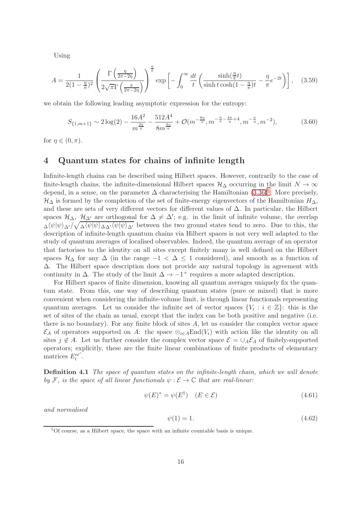Using

$$
A = \frac{1}{2(1 - \frac{\eta}{\pi})^2} \left( \frac{\Gamma\left(\frac{\eta}{2\pi - 2\eta}\right)}{2\sqrt{\pi}\Gamma\left(\frac{\pi}{2\pi - 2\eta}\right)} \right)^{\frac{\eta}{\pi}} \exp\left[-\int_0^\infty \frac{dt}{t} \left(\frac{\sinh(\frac{\eta}{\pi}t)}{\sinh t \cosh(1 - \frac{\eta}{\pi})t} - \frac{\eta}{\pi} e^{-2t}\right)\right], \quad (3.59)
$$

we obtain the following leading asymptotic expression for the entropy:

$$
S_{\{1,m+1\}} \sim 2\log(2) - \frac{16A^2}{m^{\frac{2n}{\pi}}} - \frac{512A^4}{8m^{\frac{4n}{\pi}}} + \mathcal{O}(m^{-\frac{6n}{\pi}}, m^{-\frac{n}{\pi} - \frac{4\pi}{\eta} + 4}, m^{-\frac{\pi}{\eta}}, m^{-2}),\tag{3.60}
$$

for  $\eta \in (0, \pi)$ .

### 4 Quantum states for chains of infinite length

Infinite-length chains can be described using Hilbert spaces. However, contrarily to the case of finite-length chains, the infinite-dimensional Hilbert spaces  $\mathcal{H}_{\Delta}$  occurring in the limit  $N \to \infty$ depend, in a sense, on the parameter  $\Delta$  characterising the Hamiltonian  $(3.36)^{\S}$ . More precisely,  $\mathcal{H}_{\Delta}$  is formed by the completion of the set of finite-energy eigenvectors of the Hamiltonian  $H_{\Delta}$ , and these are sets of very different vectors for different values of  $\Delta$ . In particular, the Hilbert spaces  $\mathcal{H}_{\Delta}$ ,  $\mathcal{H}_{\Delta'}$  are orthogonal for  $\Delta \neq \Delta'$ ; e.g. in the limit of infinite volume, the overlap  $\Delta\langle\psi|\psi\rangle\Delta'/\sqrt{\Delta\langle\psi|\psi\rangle\Delta\Delta'}\langle\psi|\psi\rangle\sqrt{\Delta'}$  between the two ground states tend to zero. Due to this, the description of infinite-length quantum chains via Hilbert spaces is not very well adapted to the study of quantum averages of localised observables. Indeed, the quantum average of an operator that factorises to the identity on all sites except finitely many is well defined on the Hilbert spaces  $\mathcal{H}_{\Delta}$  for any  $\Delta$  (in the range  $-1 < \Delta \leq 1$  considered), and smooth as a function of ∆. The Hilbert space description does not provide any natural topology in agreement with continuity in  $\Delta$ . The study of the limit  $\Delta \to -1^+$  requires a more adapted description.

For Hilbert spaces of finite dimension, knowing all quantum averages uniquely fix the quantum state. From this, one way of describing quantum states (pure or mixed) that is more convenient when considering the infinite-volume limit, is through linear functionals representing quantum averages. Let us consider the infinite set of vector spaces  $\{V_i : i \in \mathbb{Z}\}\$ : this is the set of sites of the chain as usual, except that the index can be both positive and negative (i.e. there is no boundary). For any finite block of sites  $A$ , let us consider the complex vector space  $\mathcal{E}_A$  of operators supported on A: the space  $\otimes_{i\in A} \text{End}(V_i)$  with action like the identity on all sites  $j \notin A$ . Let us further consider the complex vector space  $\mathcal{E} = \cup_A \mathcal{E}_A$  of finitely-supported operators; explicitly, these are the finite linear combinations of finite products of elementary matrices  $E_i^{\epsilon \epsilon'}$ .

**Definition 4.1** The space of quantum states on the infinite-length chain, which we will denote by F, is the space of all linear functionals  $\psi : \mathcal{E} \to \mathbb{C}$  that are real-linear:

$$
\psi(E)^* = \psi(E^{\dagger}) \quad (E \in \mathcal{E}) \tag{4.61}
$$

and normalised

$$
\psi(1) = 1.\tag{4.62}
$$

<span id="page-17-0"></span> $§$ Of course, as a Hilbert space, the space with an infinite countable basis is unique.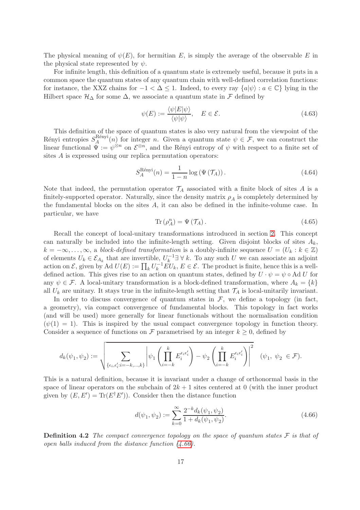The physical meaning of  $\psi(E)$ , for hermitian E, is simply the average of the observable E in the physical state represented by  $\psi$ .

For infinite length, this definition of a quantum state is extremely useful, because it puts in a common space the quantum states of any quantum chain with well-defined correlation functions: for instance, the XXZ chains for  $-1 < \Delta \leq 1$ . Indeed, to every ray  $\{a|\psi\} : a \in \mathbb{C}\}$  lying in the Hilbert space  $\mathcal{H}_{\Delta}$  for some  $\Delta$ , we associate a quantum state in F defined by

$$
\psi(E) := \frac{\langle \psi | E | \psi \rangle}{\langle \psi | \psi \rangle}, \quad E \in \mathcal{E}.
$$
\n(4.63)

This definition of the space of quantum states is also very natural from the viewpoint of the Rényi entropies  $S_A^{\rm R\'{e}nyi}$  $A_A^{\text{Rehyl}}(n)$  for integer n. Given a quantum state  $\psi \in \mathcal{F}$ , we can construct the linear functional  $\tilde{\Psi} := \psi^{\otimes n}$  on  $\mathcal{E}^{\otimes n}$ , and the Rényi entropy of  $\psi$  with respect to a finite set of sites A is expressed using our replica permutation operators:

<span id="page-18-1"></span>
$$
S_A^{\text{Rényi}}(n) = \frac{1}{1-n} \log \left( \Psi \left( \mathcal{T}_A \right) \right). \tag{4.64}
$$

Note that indeed, the permutation operator  $\mathcal{T}_A$  associated with a finite block of sites A is a finitely-supported operator. Naturally, since the density matrix  $\rho_A$  is completely determined by the fundamental blocks on the sites A, it can also be defined in the infinite-volume case. In particular, we have

$$
\operatorname{Tr}\left(\rho_A^n\right) = \Psi\left(\mathcal{T}_A\right). \tag{4.65}
$$

Recall the concept of local-unitary transformations introduced in section [2.](#page-4-1) This concept can naturally be included into the infinite-length setting. Given disjoint blocks of sites  $A_k$ ,  $k = -\infty, \ldots, \infty$ , a block-defined transformation is a doubly-infinite sequence  $U = (U_k : k \in \mathbb{Z})$ of elements  $U_k \in \mathcal{E}_{A_k}$  that are invertible,  $U_k^{-1}$  $\mathcal{L}_k^{-1} \exists \forall k$ . To any such U we can associate an adjoint action on  $\mathcal{E}$ , given by Ad  $U(E) := \prod_k U_k^{-1} E U_k$ ,  $E \in \mathcal{E}$ . The product is finite, hence this is a welldefined action. This gives rise to an action on quantum states, defined by  $U \cdot \psi = \psi \circ \text{Ad } U$  for any  $\psi \in \mathcal{F}$ . A local-unitary transformation is a block-defined transformation, where  $A_k = \{k\}$ all  $U_k$  are unitary. It stays true in the infinite-length setting that  $\mathcal{T}_A$  is local-unitarily invariant.

In order to discuss convergence of quantum states in  $F$ , we define a topology (in fact, a geometry), via compact convergence of fundamental blocks. This topology in fact works (and will be used) more generally for linear functionals without the normalisation condition  $(\psi(1) = 1)$ . This is inspired by the usual compact convergence topology in function theory. Consider a sequence of functions on F parametrised by an integer  $k \geq 0$ , defined by

$$
d_k(\psi_1,\psi_2):=\sqrt{\sum_{\{\epsilon_i,\epsilon'_i: i=-k,...,k\}}\left|\psi_1\left(\prod_{i=-k}^k E_i^{\epsilon_i\epsilon'_i}\right)-\psi_2\left(\prod_{i=-k}^k E_i^{\epsilon_i\epsilon'_i}\right)\right|^2} \quad (\psi_1,\;\psi_2\;\in\mathcal{F}).
$$

This is a natural definition, because it is invariant under a change of orthonormal basis in the space of linear operators on the subchain of  $2k + 1$  sites centered at 0 (with the inner product given by  $(E, E') = \text{Tr}(E^{\dagger}E')$ . Consider then the distance function

<span id="page-18-0"></span>
$$
d(\psi_1, \psi_2) := \sum_{k=0}^{\infty} \frac{2^{-k} d_k(\psi_1, \psi_2)}{1 + d_k(\psi_1, \psi_2)}.
$$
\n(4.66)

**Definition 4.2** The compact convergence topology on the space of quantum states  $\mathcal F$  is that of open balls induced from the distance function [\(4.66\)](#page-18-0).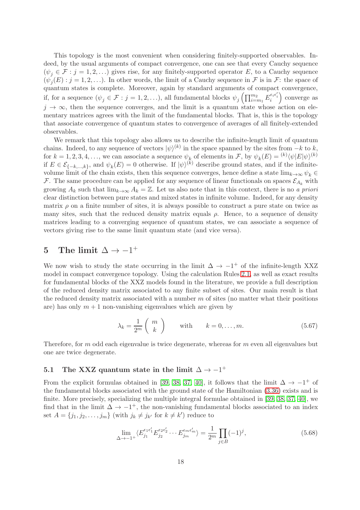This topology is the most convenient when considering finitely-supported observables. Indeed, by the usual arguments of compact convergence, one can see that every Cauchy sequence  $(\psi_i \in \mathcal{F} : j = 1, 2, \ldots)$  gives rise, for any finitely-supported operator E, to a Cauchy sequence  $(\psi_j(E) : j = 1, 2, \ldots)$ . In other words, the limit of a Cauchy sequence in  $\mathcal F$  is in  $\mathcal F$ : the space of quantum states is complete. Moreover, again by standard arguments of compact convergence, if, for a sequence  $(\psi_j \in \mathcal{F} : j = 1, 2, \ldots)$ , all fundamental blocks  $\psi_j\left(\prod_{i=m_1}^{m_2} E_i^{\epsilon_i \epsilon'_i} \right)$  converge as  $j \to \infty$ , then the sequence converges, and the limit is a quantum state whose action on elementary matrices agrees with the limit of the fundamental blocks. That is, this is the topology that associate convergence of quantum states to convergence of averages of all finitely-extended observables.

We remark that this topology also allows us to describe the infinite-length limit of quantum chains. Indeed, to any sequence of vectors  $|\psi\rangle^{(k)}$  in the space spanned by the sites from  $-k$  to k, for  $k = 1, 2, 3, 4, \ldots$ , we can associate a sequence  $\psi_k$  of elements in F, by  $\psi_k(E) = \frac{(k)}{\langle \psi | E | \psi \rangle}$ <sup>(k)</sup> if  $E \in \mathcal{E}_{\{-k,\ldots,k\}}$ , and  $\psi_k(E) = 0$  otherwise. If  $|\psi\rangle^{(k)}$  describe ground states, and if the infinitevolume limit of the chain exists, then this sequence converges, hence define a state  $\lim_{k\to\infty}\psi_k \in$ F. The same procedure can be applied for any sequence of linear functionals on spaces  $\mathcal{E}_{A_k}$  with growing  $A_k$  such that  $\lim_{k\to\infty} A_k = \mathbb{Z}$ . Let us also note that in this context, there is no a priori clear distinction between pure states and mixed states in infinite volume. Indeed, for any density matrix  $\rho$  on a finite number of sites, it is always possible to construct a pure state on twice as many sites, such that the reduced density matrix equals  $\rho$ . Hence, to a sequence of density matrices leading to a converging sequence of quantum states, we can associate a sequence of vectors giving rise to the same limit quantum state (and vice versa).

# <span id="page-19-0"></span>5 The limit  $\Delta \rightarrow -1^+$

We now wish to study the state occurring in the limit  $\Delta \rightarrow -1^+$  of the infinite-length XXZ model in compact convergence topology. Using the calculation Rules [2.1,](#page-6-3) as well as exact results for fundamental blocks of the XXZ models found in the literature, we provide a full description of the reduced density matrix associated to any finite subset of sites. Our main result is that the reduced density matrix associated with a number  $m$  of sites (no matter what their positions are) has only  $m + 1$  non-vanishing eigenvalues which are given by

<span id="page-19-2"></span>
$$
\lambda_k = \frac{1}{2^m} \left( \begin{array}{c} m \\ k \end{array} \right) \qquad \text{with} \qquad k = 0, \dots, m. \tag{5.67}
$$

Therefore, for m odd each eigenvalue is twice degenerate, whereas for m even all eigenvalues but one are twice degenerate.

## 5.1 The XXZ quantum state in the limit  $\Delta \rightarrow -1^+$

From the explicit formulas obtained in [\[39,](#page-30-15) [38,](#page-30-14) [37,](#page-30-13) [40\]](#page-30-16), it follows that the limit  $\Delta \to -1^+$  of the fundamental blocks associated with the ground state of the Hamiltonian [\(3.36\)](#page-11-1) exists and is finite. More precisely, specializing the multiple integral formulae obtained in [\[39,](#page-30-15) [38,](#page-30-14) [37,](#page-30-13) [40\]](#page-30-16), we find that in the limit  $\Delta \rightarrow -1^+$ , the non-vanishing fundamental blocks associated to an index set  $A = \{j_1, j_2, \dots, j_m\}$  (with  $j_k \neq j_{k'}$  for  $k \neq k'$ ) reduce to

<span id="page-19-1"></span>
$$
\lim_{\Delta \to -1^+} \langle E_{j_1}^{\epsilon_1 \epsilon_1'} E_{j_2}^{\epsilon_2 \epsilon_2'} \cdots E_{j_m}^{\epsilon_m \epsilon_m'} \rangle = \frac{1}{2^m} \prod_{j \in B} (-1)^j,
$$
\n(5.68)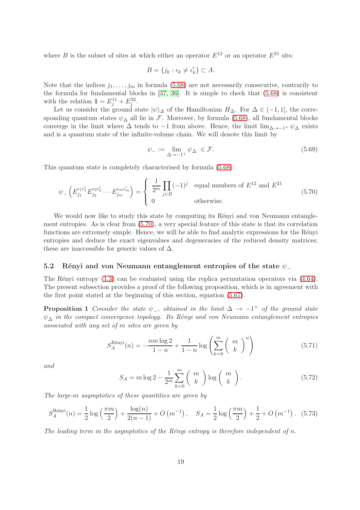where B is the subset of sites at which either an operator  $E^{12}$  or an operator  $E^{21}$  sits:

$$
B = \{j_k : \epsilon_k \neq \epsilon'_k\} \subset A.
$$

Note that the indices  $j_1, \ldots, j_m$  in formula [\(5.68\)](#page-19-1) are not necessarily consecutive, contrarily to the formula for fundamental blocks in [\[37,](#page-30-13) [36\]](#page-30-12). It is simple to check that [\(5.68\)](#page-19-1) is consistent with the relation  $\mathbf{1} = E_j^{11} + E_j^{22}$ .

Let us consider the ground state  $|\psi\rangle_{\Delta}$  of the Hamiltonian  $H_{\Delta}$ . For  $\Delta \in (-1, 1]$ , the corresponding quantum states  $\psi_{\Delta}$  all lie in F. Moreover, by formula [\(5.68\)](#page-19-1), all fundamental blocks converge in the limit where  $\Delta$  tends to −1 from above. Hence, the limit lim<sub> $\Delta \rightarrow -1^+ \psi \wedge$ </sub> exists and is a quantum state of the infinite-volume chain. We will denote this limit by

$$
\psi_{-} := \lim_{\Delta \to -1^{+}} \psi_{\Delta} \in \mathcal{F}.
$$
\n(5.69)

This quantum state is completely characterised by formula [\(5.68\)](#page-19-1):

<span id="page-20-0"></span>
$$
\psi_{-}\left(E_{j_1}^{\epsilon_1 \epsilon'_1} E_{j_2}^{\epsilon_2 \epsilon'_2} \cdots E_{j_m}^{\epsilon_m \epsilon'_m}\right) = \begin{cases} \frac{1}{2^m} \prod_{j \in B} (-1)^j & \text{equal numbers of } E^{12} \text{ and } E^{21} \\ 0 & \text{otherwise.} \end{cases}
$$
(5.70)

We would now like to study this state by computing its Rényi and von Neumann entanglement entropies. As is clear from [\(5.70\)](#page-20-0), a very special feature of this state is that its correlation functions are extremely simple. Hence, we will be able to find analytic expressions for the Rényi entropies and deduce the exact eigenvalues and degeneracies of the reduced density matrices; these are inaccessible for generic values of  $\Delta$ .

#### 5.2 Rényi and von Neumann entanglement entropies of the state  $\psi$

The Rényi entropy  $(1.3)$  can be evaluated using the replica permutation operators via  $(4.64)$ . The present subsection provides a proof of the following proposition, which is in agreement with the first point stated at the beginning of this section, equation [\(5.67\)](#page-19-2).

**Proposition 1** Consider the state  $\psi$ <sub>-</sub>, obtained in the limit  $\Delta \rightarrow -1^+$  of the ground state  $\psi_{\Lambda}$  in the compact convergence topology. Its Rényi and von Neumann entanglement entropies associated with any set of m sites are given by

<span id="page-20-4"></span><span id="page-20-2"></span>
$$
S_A^{\text{Rényi}}(n) = -\frac{nm\log 2}{1-n} + \frac{1}{1-n}\log\left(\sum_{k=0}^m \binom{m}{k}^n\right) \tag{5.71}
$$

and

<span id="page-20-3"></span>
$$
S_A = m \log 2 - \frac{1}{2^m} \sum_{k=0}^m {m \choose k} \log {m \choose k}.
$$
 (5.72)

The large-m asymptotics of these quantities are given by

<span id="page-20-1"></span>
$$
S_A^{\text{Rényi}}(n) = \frac{1}{2}\log\left(\frac{\pi m}{2}\right) + \frac{\log(n)}{2(n-1)} + O\left(m^{-1}\right), \quad S_A = \frac{1}{2}\log\left(\frac{\pi m}{2}\right) + \frac{1}{2} + O\left(m^{-1}\right). \tag{5.73}
$$

The leading term in the asymptotics of the Rényi entropy is therefore independent of n.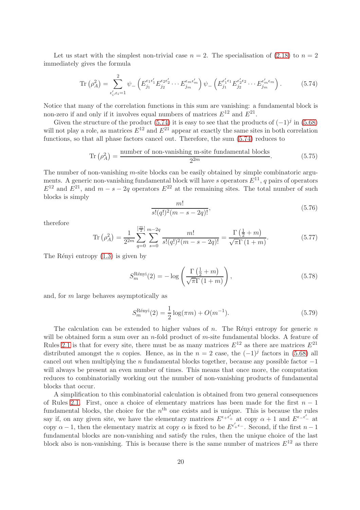Let us start with the simplest non-trivial case  $n = 2$ . The specialisation of [\(2.18\)](#page-7-1) to  $n = 2$ immediately gives the formula

<span id="page-21-0"></span>
$$
\text{Tr}\left(\rho_A^2\right) = \sum_{\epsilon'_i, \epsilon_i = 1}^2 \psi_- \left( E_{j_1}^{\epsilon_1 \epsilon'_1} E_{j_2}^{\epsilon_2 \epsilon'_2} \cdots E_{j_m}^{\epsilon_m \epsilon'_m} \right) \psi_- \left( E_{j_1}^{\epsilon'_1 \epsilon_1} E_{j_2}^{\epsilon'_2 \epsilon_2} \cdots E_{j_m}^{\epsilon'_m \epsilon_m} \right). \tag{5.74}
$$

Notice that many of the correlation functions in this sum are vanishing: a fundamental block is non-zero if and only if it involves equal numbers of matrices  $E^{12}$  and  $E^{21}$ .

Given the structure of the product [\(5.74\)](#page-21-0) it is easy to see that the products of  $(-1)^j$  in [\(5.68\)](#page-19-1) will not play a role, as matrices  $E^{12}$  and  $E^{21}$  appear at exactly the same sites in both correlation functions, so that all phase factors cancel out. Therefore, the sum [\(5.74\)](#page-21-0) reduces to

$$
\text{Tr}\left(\rho_A^2\right) = \frac{\text{number of non-vanishing m-site fundamental blocks}}{2^{2m}}.\tag{5.75}
$$

The number of non-vanishing m-site blocks can be easily obtained by simple combinatoric arguments. A generic non-vanishing fundamental block will have s operators  $E^{11}$ , q pairs of operators  $E^{12}$  and  $E^{21}$ , and  $m - s - 2q$  operators  $E^{22}$  at the remaining sites. The total number of such blocks is simply

$$
\frac{m!}{s!(q!)^2(m-s-2q)!},\tag{5.76}
$$

therefore

$$
\operatorname{Tr}\left(\rho_A^2\right) = \frac{1}{2^{2m}} \sum_{q=0}^{\left[\frac{m}{2}\right]} \sum_{s=0}^{m-2q} \frac{m!}{s!(q!)^2(m-s-2q)!} = \frac{\Gamma\left(\frac{1}{2}+m\right)}{\sqrt{\pi}\Gamma\left(1+m\right)}.\tag{5.77}
$$

The Rényi entropy  $(1.3)$  is given by

$$
S_m^{\text{Rényi}}(2) = -\log\left(\frac{\Gamma\left(\frac{1}{2} + m\right)}{\sqrt{\pi}\Gamma\left(1 + m\right)}\right),\tag{5.78}
$$

and, for m large behaves asymptotically as

<span id="page-21-1"></span>
$$
S_m^{\text{Rényi}}(2) = \frac{1}{2}\log(\pi m) + O(m^{-1}).\tag{5.79}
$$

The calculation can be extended to higher values of  $n$ . The Rényi entropy for generic  $n$ will be obtained form a sum over an n-fold product of  $m$ -site fundamental blocks. A feature of Rules [2.1](#page-6-3) is that for every site, there must be as many matrices  $E^{12}$  as there are matrices  $E^{21}$ distributed amongst the *n* copies. Hence, as in the  $n = 2$  case, the  $(-1)^j$  factors in [\(5.68\)](#page-19-1) all cancel out when multiplying the n fundamental blocks together, because any possible factor  $-1$ will always be present an even number of times. This means that once more, the computation reduces to combinatorially working out the number of non-vanishing products of fundamental blocks that occur.

A simplification to this combinatorial calculation is obtained from two general consequences of Rules [2.1.](#page-6-3) First, once a choice of elementary matrices has been made for the first  $n-1$ fundamental blocks, the choice for the  $n<sup>th</sup>$  one exists and is unique. This is because the rules say if, on any given site, we have the elementary matrices  $E^{\epsilon+\epsilon_+'}$  at copy  $\alpha+1$  and  $E^{\epsilon-\epsilon_-'}$  at copy  $\alpha - 1$ , then the elementary matrix at copy  $\alpha$  is fixed to be  $E^{\epsilon_+' \epsilon_-}$ . Second, if the first  $n-1$ fundamental blocks are non-vanishing and satisfy the rules, then the unique choice of the last block also is non-vanishing. This is because there is the same number of matrices  $E^{12}$  as there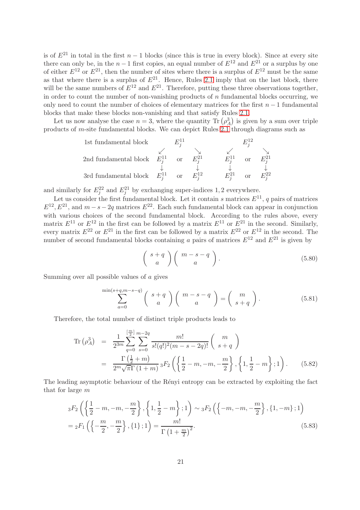is of  $E^{21}$  in total in the first  $n-1$  blocks (since this is true in every block). Since at every site there can only be, in the  $n-1$  first copies, an equal number of  $E^{12}$  and  $E^{21}$  or a surplus by one of either  $E^{12}$  or  $E^{21}$ , then the number of sites where there is a surplus of  $E^{12}$  must be the same as that where there is a surplus of  $E^{21}$ . Hence, Rules [2.1](#page-6-3) imply that on the last block, there will be the same numbers of  $E^{12}$  and  $E^{21}$ . Therefore, putting these three observations together, in order to count the number of non-vanishing products of  $n$  fundamental blocks occurring, we only need to count the number of choices of elementary matrices for the first  $n-1$  fundamental blocks that make these blocks non-vanishing and that satisfy Rules [2.1.](#page-6-3)

Let us now analyse the case  $n = 3$ , where the quantity  $\text{Tr}(\rho_A^3)$  is given by a sum over triple products of m-site fundamental blocks. We can depict Rules [2.1](#page-6-3) through diagrams such as

| 1st fundamental block | $E_j^{11}$ | $E_j^{12}$ |            |            |              |              |              |              |
|-----------------------|------------|------------|------------|------------|--------------|--------------|--------------|--------------|
| 2nd fundamental block | $E_j^{11}$ | or         | $E_j^{21}$ | $\angle$   | $\angle$     |              |              |              |
| 3rd fundamental block | $E_j^{11}$ | or         | $E_j^{21}$ | $\angle$   | $\downarrow$ | $\downarrow$ | $\downarrow$ | $\downarrow$ |
| 3rd fundamental block | $E_j^{11}$ | or         | $E_j^{12}$ | $E_j^{21}$ | or           | $E_j^{22}$   |              |              |

and similarly for  $E_j^{22}$  and  $E_j^{21}$  by exchanging super-indices 1, 2 everywhere.

Let us consider the first fundamental block. Let it contain s matrices  $E^{11}$ , q pairs of matrices  $E^{12}, E^{21}$ , and  $m - s - 2q$  matrices  $E^{22}$ . Each such fundamental block can appear in conjunction with various choices of the second fundamental block. According to the rules above, every matrix  $E^{11}$  or  $E^{12}$  in the first can be followed by a matrix  $E^{11}$  or  $E^{21}$  in the second. Similarly, every matrix  $E^{22}$  or  $E^{21}$  in the first can be followed by a matrix  $E^{22}$  or  $E^{12}$  in the second. The number of second fundamental blocks containing a pairs of matrices  $E^{12}$  and  $E^{21}$  is given by

<span id="page-22-1"></span>
$$
\left(\begin{array}{c} s+q \\ a \end{array}\right)\left(\begin{array}{c} m-s-q \\ a \end{array}\right). \tag{5.80}
$$

Summing over all possible values of a gives

<span id="page-22-2"></span>
$$
\sum_{a=0}^{\min(s+q,m-s-q)} \binom{s+q}{a} \binom{m-s-q}{a} = \binom{m}{s+q}.
$$
 (5.81)

Therefore, the total number of distinct triple products leads to

<span id="page-22-0"></span>
$$
\text{Tr}\left(\rho_A^3\right) = \frac{1}{2^{3m}} \sum_{q=0}^{\left[\frac{m}{2}\right]} \sum_{s=0}^{m-2q} \frac{m!}{s!(q!)^2(m-s-2q)!} \left(\begin{array}{c} m \\ s+q \end{array}\right)
$$
  
= 
$$
\frac{\Gamma\left(\frac{1}{2}+m\right)}{2^m \sqrt{\pi} \Gamma\left(1+m\right)} {}_3F_2 \left(\left\{\frac{1}{2}-m, -m, -\frac{m}{2}\right\}, \left\{1, \frac{1}{2}-m\right\}; 1\right).
$$
 (5.82)

The leading asymptotic behaviour of the Renyi entropy can be extracted by exploiting the fact that for large m

$$
{}_{3}F_{2}\left(\left\{\frac{1}{2}-m, -m, -\frac{m}{2}\right\}, \left\{1, \frac{1}{2}-m\right\}; 1\right) \sim {}_{3}F_{2}\left(\left\{-m, -m, -\frac{m}{2}\right\}, \left\{1, -m\right\}; 1\right)
$$

$$
= {}_{2}F_{1}\left(\left\{-\frac{m}{2}, -\frac{m}{2}\right\}, \left\{1\right\}; 1\right) = \frac{m!}{\Gamma\left(1 + \frac{m}{2}\right)^{2}}.
$$
(5.83)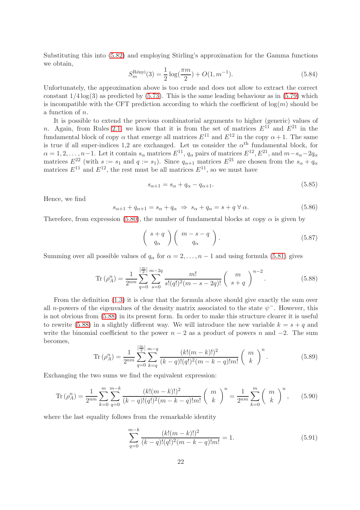Substituting this into [\(5.82\)](#page-22-0) and employing Stirling's approximation for the Gamma functions we obtain,

$$
S_m^{\text{Reinyi}}(3) = \frac{1}{2}\log(\frac{\pi m}{2}) + O(1, m^{-1}).\tag{5.84}
$$

Unfortunately, the approximation above is too crude and does not allow to extract the correct constant  $1/4 \log(3)$  as predicted by  $(5.73)$ . This is the same leading behaviour as in  $(5.79)$  which is incompatible with the CFT prediction according to which the coefficient of  $log(m)$  should be a function of n.

It is possible to extend the previous combinatorial arguments to higher (generic) values of n. Again, from Rules [2.1,](#page-6-3) we know that it is from the set of matrices  $E^{11}$  and  $E^{21}$  in the fundamental block of copy  $\alpha$  that emerge all matrices  $E^{11}$  and  $E^{12}$  in the copy  $\alpha + 1$ . The same is true if all super-indices 1,2 are exchanged. Let us consider the  $\alpha^{\text{th}}$  fundamental block, for  $\alpha = 1, 2, \ldots, n-1$ . Let it contain  $s_{\alpha}$  matrices  $E^{11}$ ,  $q_{\alpha}$  pairs of matrices  $E^{12}$ ,  $E^{21}$ , and  $m-s_{\alpha}-2q_{\alpha}$ matrices  $E^{22}$  (with  $s := s_1$  and  $q := s_1$ ). Since  $q_{\alpha+1}$  matrices  $E^{21}$  are chosen from the  $s_{\alpha} + q_{\alpha}$ matrices  $E^{11}$  and  $E^{12}$ , the rest must be all matrices  $E^{11}$ , so we must have

$$
s_{\alpha+1} = s_{\alpha} + q_{\alpha} - q_{\alpha+1}.\tag{5.85}
$$

Hence, we find

$$
s_{\alpha+1} + q_{\alpha+1} = s_{\alpha} + q_{\alpha} \Rightarrow s_{\alpha} + q_{\alpha} = s + q \,\forall \,\alpha. \tag{5.86}
$$

Therefore, from expression [\(5.80\)](#page-22-1), the number of fundamental blocks at copy  $\alpha$  is given by

$$
\left(\begin{array}{c} s+q \\ q_{\alpha} \end{array}\right) \left(\begin{array}{c} m-s-q \\ q_{\alpha} \end{array}\right). \tag{5.87}
$$

Summing over all possible values of  $q_\alpha$  for  $\alpha = 2, \ldots, n-1$  and using formula [\(5.81\)](#page-22-2) gives

<span id="page-23-0"></span>
$$
\operatorname{Tr}\left(\rho_A^n\right) = \frac{1}{2^{nm}} \sum_{q=0}^{\left[\frac{m}{2}\right]} \sum_{s=0}^{m-2q} \frac{m!}{s!(q!)^2(m-s-2q)!} \left(\begin{array}{c} m\\ s+q \end{array}\right)^{n-2}.
$$
 (5.88)

From the definition [\(1.3\)](#page-2-2) it is clear that the formula above should give exactly the sum over all n-powers of the eigenvalues of the density matrix associated to the state  $\psi^-$ . However, this is not obvious from [\(5.88\)](#page-23-0) in its present form. In order to make this structure clearer it is useful to rewrite [\(5.88\)](#page-23-0) in a slightly different way. We will introduce the new variable  $k = s + q$  and write the binomial coefficient to the power  $n-2$  as a product of powers n and  $-2$ . The sum becomes,

$$
\operatorname{Tr}\left(\rho_A^n\right) = \frac{1}{2^{nm}} \sum_{q=0}^{\left[\frac{m}{2}\right]} \sum_{k=q}^{m-q} \frac{(k!(m-k)!)^2}{(k-q)!(q!)^2(m-k-q)!m!} \left(\begin{array}{c} m\\ k \end{array}\right)^n.
$$
 (5.89)

Exchanging the two sums we find the equivalent expression:

<span id="page-23-1"></span>
$$
\text{Tr}\left(\rho_A^n\right) = \frac{1}{2^{nm}} \sum_{k=0}^m \sum_{q=0}^{m-k} \frac{(k!(m-k)!)^2}{(k-q)!(q!)^2(m-k-q)!m!} \left(\begin{array}{c} m \\ k \end{array}\right)^n = \frac{1}{2^{nm}} \sum_{k=0}^m \left(\begin{array}{c} m \\ k \end{array}\right)^n, \qquad (5.90)
$$

where the last equality follows from the remarkable identity

$$
\sum_{q=0}^{m-k} \frac{(k!(m-k)!)^2}{(k-q)!(q!)^2(m-k-q)!m!} = 1.
$$
\n(5.91)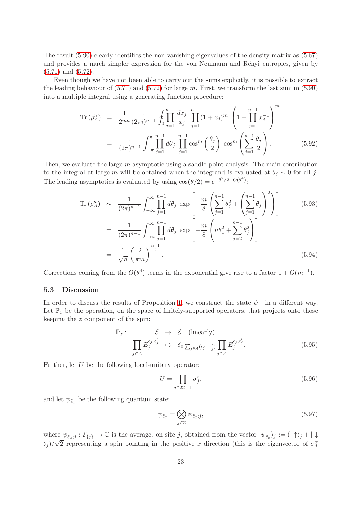The result [\(5.90\)](#page-23-1) clearly identifies the non-vanishing eigenvalues of the density matrix as [\(5.67\)](#page-19-2) and provides a much simpler expression for the von Neumann and Rényi entropies, given by [\(5.71\)](#page-20-2) and [\(5.72\)](#page-20-3).

Even though we have not been able to carry out the sums explicitly, it is possible to extract the leading behaviour of  $(5.71)$  and  $(5.72)$  for large m. First, we transform the last sum in  $(5.90)$ into a multiple integral using a generating function procedure:

$$
\text{Tr}\left(\rho_A^n\right) = \frac{1}{2^{mn}} \frac{1}{(2\pi i)^{n-1}} \oint_0^n \prod_{j=1}^{n-1} \frac{dx_j}{x_j} \prod_{j=1}^{n-1} (1+x_j)^m \left(1 + \prod_{j=1}^{n-1} x_j^{-1}\right)^m
$$
\n
$$
= \frac{1}{(2\pi)^{n-1}} \int_{-\pi}^{\pi} \prod_{j=1}^{n-1} d\theta_j \prod_{j=1}^{n-1} \cos^m \left(\frac{\theta_j}{2}\right) \cos^m \left(\sum_{j=1}^{n-1} \frac{\theta_j}{2}\right). \tag{5.92}
$$

Then, we evaluate the large- $m$  asymptotic using a saddle-point analysis. The main contribution to the integral at large-m will be obtained when the integrand is evaluated at  $\theta_i \sim 0$  for all j. The leading asymptotics is evaluated by using  $cos(\theta/2) = e^{-\theta^2/2 + O(\theta^4)}$ .

$$
\text{Tr}\left(\rho_A^n\right) \sim \frac{1}{(2\pi)^{n-1}} \int_{-\infty}^{\infty} \prod_{j=1}^{n-1} d\theta_j \, \exp\left[-\frac{m}{8} \left(\sum_{j=1}^{n-1} \theta_j^2 + \left(\sum_{j=1}^{n-1} \theta_j\right)^2\right)\right] \qquad (5.93)
$$
\n
$$
= \frac{1}{(2\pi)^{n-1}} \int_{-\infty}^{\infty} \prod_{j=1}^{n-1} d\theta_j \, \exp\left[-\frac{m}{8} \left(n\theta_1^2 + \sum_{j=2}^{n-1} \theta_j^2\right)\right] \qquad (5.94)
$$

Corrections coming from the  $O(\theta^4)$  terms in the exponential give rise to a factor  $1 + O(m^{-1})$ .

#### 5.3 Discussion

In order to discuss the results of Proposition [1,](#page-20-4) we construct the state  $\psi_{-}$  in a different way. Let  $\mathbb{P}_z$  be the operation, on the space of finitely-supported operators, that projects onto those keeping the z component of the spin:

$$
\mathbb{P}_{z}: \qquad \mathcal{E} \rightarrow \mathcal{E} \quad \text{(linearly)}\n\prod_{j \in A} E_{j}^{\epsilon_{j}, \epsilon'_{j}} \rightarrow \delta_{0, \sum_{j \in A} (\epsilon_{j} - \epsilon'_{j})} \prod_{j \in A} E_{j}^{\epsilon_{j}, \epsilon'_{j}}.
$$
\n(5.95)

Further, let  $U$  be the following local-unitary operator:

$$
U = \prod_{j \in 2\mathbb{Z}+1} \sigma_j^z,\tag{5.96}
$$

and let  $\psi_{\hat{e}_x}$  be the following quantum state:

<span id="page-24-0"></span>
$$
\psi_{\hat{e}_x} = \bigotimes_{j \in \mathbb{Z}} \psi_{\hat{e}_x; j},\tag{5.97}
$$

where  $\psi_{\hat{e}_x;j}: \mathcal{E}_{\{j\}} \to \mathbb{C}$  is the average, on site j, obtained from the vector  $|\psi_{\hat{e}_x}\rangle_j := (|\uparrow\rangle_j + |\downarrow\rangle_j)$  $\langle j \rangle / \sqrt{2}$  representing a spin pointing in the positive x direction (this is the eigenvector of  $\sigma_j^x$ )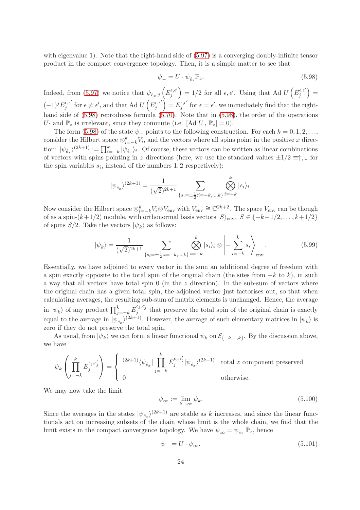with eigenvalue 1). Note that the right-hand side of [\(5.97\)](#page-24-0) is a converging doubly-infinite tensor product in the compact convergence topology. Then, it is a simple matter to see that

<span id="page-25-0"></span>
$$
\psi_{-} = U \cdot \psi_{\hat{e}_x} \mathbb{P}_z. \tag{5.98}
$$

Indeed, from [\(5.97\)](#page-24-0) we notice that  $\psi_{\hat{e}_x;j}$   $\left(E_j^{\epsilon,\epsilon'}\right)$  $\left( \sum_{j}^{\epsilon,\epsilon'} \right) = 1/2$  for all  $\epsilon,\epsilon'$ . Using that Ad  $U\left( E_j^{\epsilon,\epsilon'} \right)$  $\binom{\epsilon,\epsilon'}{j} =$  $(-1)^j E_j^{\epsilon,\epsilon'}$  $\frac{\partial}{\partial \epsilon} \epsilon'$  for  $\epsilon \neq \epsilon'$ , and that Ad  $U\left( E_j^{\epsilon,\epsilon'}\right)$  $\left(\begin{smallmatrix} \epsilon,\epsilon'\ j \end{smallmatrix}\right) = E_j^{\epsilon,\epsilon'}$  $\epsilon_j^{\epsilon,\epsilon'}$  for  $\epsilon = \epsilon'$ , we immediately find that the righthand side of  $(5.98)$  reproduces formula  $(5.70)$ . Note that in  $(5.98)$ , the order of the operations U and  $\mathbb{P}_z$  is irrelevant, since they commute (i.e. [Ad U,  $\mathbb{P}_z$ ] = 0).

The form [\(5.98\)](#page-25-0) of the state  $\psi$ <sub>-</sub> points to the following construction. For each  $k = 0, 1, 2, \ldots$ , consider the Hilbert space  $\otimes_{i=-k}^{k} V_i$ , and the vectors where all spins point in the positive x direction:  $|\psi_{\hat{e}_x}\rangle^{(2k+1)} := \prod_{i=-k}^k |\psi_{\hat{e}_x}\rangle_i$ . Of course, these vectors can be written as linear combinations of vectors with spins pointing in z directions (here, we use the standard values  $\pm 1/2 \equiv \uparrow, \downarrow$  for the spin variables  $s_i$ , instead of the numbers 1, 2 respectively):

$$
|\psi_{\hat{e}_x}\rangle^{(2k+1)} = \frac{1}{(\sqrt{2})^{2k+1}} \sum_{\{s_i = \pm \frac{1}{2} : i = -k, ..., k\}} \bigotimes_{i = -k}^k |s_i\rangle_i.
$$

Now consider the Hilbert space  $\otimes_{i=-k}^{k} V_i \otimes V_{env}$  with  $V_{env} \cong \mathbb{C}^{2k+2}$ . The space  $V_{env}$  can be though of as a spin- $(k+1/2)$  module, with orthonormal basis vectors  $|S\rangle_{\text{env}}, S \in \{-k-1/2, \ldots, k+1/2\}$ of spins  $S/2$ . Take the vectors  $|\psi_k\rangle$  as follows:

<span id="page-25-1"></span>
$$
|\psi_k\rangle = \frac{1}{(\sqrt{2})^{2k+1}} \sum_{\{s_i = \pm \frac{1}{2} : i = -k, ..., k\}} \bigotimes_{i = -k}^k |s_i\rangle_i \otimes \left| - \sum_{i = -k}^k s_i \right\rangle_{\text{env}}.
$$
 (5.99)

Essentially, we have adjoined to every vector in the sum an additional degree of freedom with a spin exactly opposite to the total spin of the original chain (the sites from  $-k$  to k), in such a way that all vectors have total spin 0 (in the z direction). In the sub-sum of vectors where the original chain has a given total spin, the adjoined vector just factorises out, so that when calculating averages, the resulting sub-sum of matrix elements is unchanged. Hence, the average in  $|\psi_k\rangle$  of any product  $\prod_{j=-k}^k E_j^{\epsilon_j,\epsilon_j'}$  that preserve the total spin of the original chain is exactly equal to the average in  $|\psi_{\hat{e}_x}\rangle^{(2k+1)}$ . However, the average of such elementary matrices in  $|\psi_k\rangle$  is zero if they do not preserve the total spin.

As usual, from  $|\psi_k\rangle$  we can form a linear functional  $\psi_k$  on  $\mathcal{E}_{\{-k,\dots,k\}}$ . By the discussion above, we have

$$
\psi_k \left( \prod_{j=-k}^k E_j^{\epsilon_j, \epsilon'_j} \right) = \begin{cases} (2k+1) \langle \psi_{\hat{e}_x} | \prod_{j=-k}^k E_j^{\epsilon_j, \epsilon'_j} | \psi_{\hat{e}_x} \rangle^{(2k+1)} & \text{total } z \text{ component preserved} \\ 0 & \text{otherwise.} \end{cases}
$$

We may now take the limit

<span id="page-25-2"></span>
$$
\psi_{\infty} := \lim_{k \to \infty} \psi_k. \tag{5.100}
$$

Since the averages in the states  $|\psi_{\hat{e}_x}\rangle^{(2k+1)}$  are stable as k increases, and since the linear functionals act on increasing subsets of the chain whose limit is the whole chain, we find that the limit exists in the compact convergence topology. We have  $\psi_{\infty} = \psi_{\hat{e}_x} \ \mathbb{P}_z$ , hence

<span id="page-25-3"></span>
$$
\psi_{-} = U \cdot \psi_{\infty}.\tag{5.101}
$$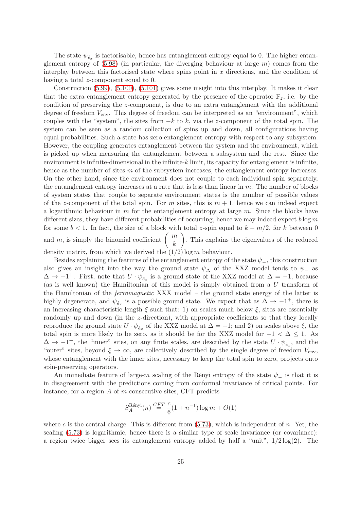The state  $\psi_{\hat{e}_x}$  is factorisable, hence has entanglement entropy equal to 0. The higher entanglement entropy of  $(5.98)$  (in particular, the diverging behaviour at large m) comes from the interplay between this factorised state where spins point in  $x$  directions, and the condition of having a total z-component equal to 0.

Construction [\(5.99\)](#page-25-1), [\(5.100\)](#page-25-2), [\(5.101\)](#page-25-3) gives some insight into this interplay. It makes it clear that the extra entanglement entropy generated by the presence of the operator  $\mathbb{P}_z$ , i.e. by the condition of preserving the z-component, is due to an extra entanglement with the additional degree of freedom  $V_{env}$ . This degree of freedom can be interpreted as an "environment", which couples with the "system", the sites from  $-k$  to k, via the z-component of the total spin. The system can be seen as a random collection of spins up and down, all configurations having equal probabilities. Such a state has zero entanglement entropy with respect to any subsystem. However, the coupling generates entanglement between the system and the environment, which is picked up when measuring the entanglement between a subsystem and the rest. Since the environment is infinite-dimensional in the infinite-k limit, its capacity for entanglement is infinite, hence as the number of sites m of the subsystem increases, the entanglement entropy increases. On the other hand, since the environment does not couple to each individual spin separately, the entanglement entropy increases at a rate that is less than linear in  $m$ . The number of blocks of system states that couple to separate environment states is the number of possible values of the z-component of the total spin. For m sites, this is  $m + 1$ , hence we can indeed expect a logarithmic behaviour in  $m$  for the entanglement entropy at large  $m$ . Since the blocks have different sizes, they have different probabilities of occurring, hence we may indeed expect  $b \log m$ for some  $b < 1$ . In fact, the size of a block with total z-spin equal to  $k - m/2$ , for k between 0 and m, is simply the binomial coefficient  $\begin{pmatrix} m \\ h \end{pmatrix}$ . This explains the eigenvalues of the reduced

k density matrix, from which we derived the  $(1/2)$  log m behaviour.

Besides explaining the features of the entanglement entropy of the state  $\psi_{-}$ , this construction also gives an insight into the way the ground state  $\psi_{\Delta}$  of the XXZ model tends to  $\psi_{-}$  as  $\Delta \to -1^+$ . First, note that  $U \cdot \psi_{\hat{e}_x}$  is a ground state of the XXZ model at  $\Delta = -1$ , because (as is well known) the Hamiltonian of this model is simply obtained from a U transform of the Hamiltonian of the ferromagnetic XXX model – the ground state energy of the latter is highly degenerate, and  $\psi_{\hat{e}_x}$  is a possible ground state. We expect that as  $\Delta \to -1^+$ , there is an increasing characteristic length  $\xi$  such that: 1) on scales much below  $\xi$ , sites are essentially randomly up and down (in the z-direction), with appropriate coefficients so that they locally reproduce the ground state  $U \cdot \psi_{\hat{e}_x}$  of the XXZ model at  $\Delta = -1$ ; and 2) on scales above  $\xi$ , the total spin is more likely to be zero, as it should be for the XXZ model for  $-1 < \Delta \leq 1$ . As  $\Delta \to -1^+$ , the "inner" sites, on any finite scales, are described by the state  $U \cdot \psi_{\hat{e}_x}$ , and the "outer" sites, beyond  $\xi \to \infty$ , are collectively described by the single degree of freedom  $V_{env}$ , whose entanglement with the inner sites, necessary to keep the total spin to zero, projects onto spin-preserving operators.

An immediate feature of large-m scaling of the Rényi entropy of the state  $\psi_{-}$  is that it is in disagreement with the predictions coming from conformal invariance of critical points. For instance, for a region  $A$  of  $m$  consecutive sites, CFT predicts

$$
S_A^{\text{Rényi}}(n) \stackrel{CFT}{=} \frac{c}{6}(1+n^{-1})\log m + O(1)
$$

where c is the central charge. This is different from  $(5.73)$ , which is independent of n. Yet, the scaling [\(5.73\)](#page-20-1) is logarithmic, hence there is a similar type of scale invariance (or covariance): a region twice bigger sees its entanglement entropy added by half a "unit",  $1/2 \log(2)$ . The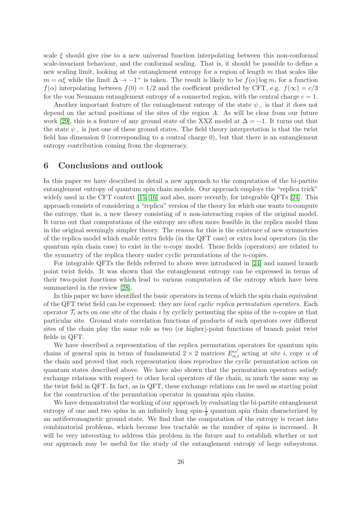scale  $\xi$  should give rise to a new universal function interpolating between this non-conformal scale-invariant behaviour, and the conformal scaling. That is, it should be possible to define a new scaling limit, looking at the entanglement entropy for a region of length  $m$  that scales like  $m = \alpha \xi$  while the limit  $\Delta \to -1^+$  is taken. The result is likely to be  $f(\alpha) \log m$ , for a function  $f(\alpha)$  interpolating between  $f(0) = 1/2$  and the coefficient predicted by CFT, e.g.  $f(\infty) = c/3$ for the von Neumann entanglement entropy of a connected region, with the central charge  $c = 1$ .

Another important feature of the entanglement entropy of the state  $\psi_{-}$  is that it does not depend on the actual positions of the sites of the region  $A$ . As will be clear from our future work [\[29\]](#page-30-5), this is a feature of any ground state of the XXZ model at  $\Delta = -1$ . It turns out that the state  $\psi_{-}$  is just one of these ground states. The field theory interpretation is that the twist field has dimension 0 (corresponding to a central charge 0), but that there is an entanglement entropy contribution coming from the degeneracy.

## 6 Conclusions and outlook

In this paper we have described in detail a new approach to the computation of the bi-partite entanglement entropy of quantum spin chain models. Our approach employs the "replica trick" widely used in the CFT context [\[15,](#page-29-9) [16\]](#page-29-10) and also, more recently, for integrable QFTs [\[24\]](#page-30-0). This approach consists of considering a "replica" version of the theory for which one wants to compute the entropy, that is, a new theory consisting of n non-interacting copies of the original model. It turns out that computations of the entropy are often more feasible in the replica model than in the original seemingly simpler theory. The reason for this is the existence of new symmetries of the replica model which enable extra fields (in the QFT case) or extra local operators (in the quantum spin chain case) to exist in the *n*-copy model. These fields (operators) are related to the symmetry of the replica theory under cyclic permutations of the n-copies.

For integrable QFTs the fields referred to above were introduced in [\[24\]](#page-30-0) and named branch point twist fields. It was shown that the entanglement entropy can be expressed in terms of their two-point functions which lead to various computation of the entropy which have been summarized in the review [\[28\]](#page-30-4).

In this paper we have identified the basic operators in terms of which the spin chain equivalent of the QFT twist field can be expressed: they are local cyclic replica permutation operators. Each operator  $\mathcal{T}_i$  acts on one site of the chain i by cyclicly permuting the spins of the n-copies at that particular site. Ground state correlation functions of products of such operators over different sites of the chain play the same role as two (or higher)-point functions of branch point twist fields in QFT.

We have described a representation of the replica permutation operators for quantum spin chains of general spin in terms of fundamental  $2 \times 2$  matrices  $E_{\alpha,i}^{\epsilon\epsilon'}$  acting at site *i*, copy  $\alpha$  of the chain and proved that such representation does reproduce the cyclic permutation action on quantum states described above. We have also shown that the permutation operators satisfy exchange relations with respect to other local operators of the chain, in much the same way as the twist field in QFT. In fact, as in QFT, these exchange relations can be used as starting point for the construction of the permutation operator in quantum spin chains.

We have demonstrated the working of our approach by evaluating the bi-partite entanglement entropy of one and two spins in an infinitely long spin- $\frac{1}{2}$  quantum spin chain characterized by an antiferromagnetic ground state. We find that the computation of the entropy is recast into combinatorial problems, which become less tractable as the number of spins is increased. It will be very interesting to address this problem in the future and to establish whether or not our approach may be useful for the study of the entanglement entropy of large subsystems.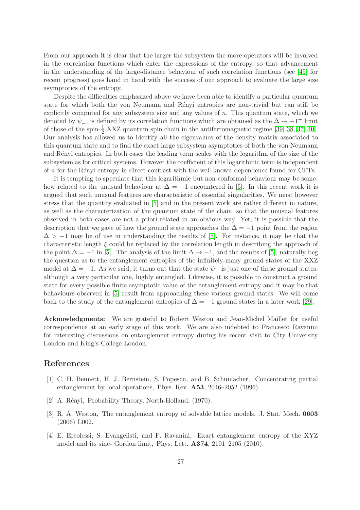From our approach it is clear that the larger the subsystem the more operators will be involved in the correlation functions which enter the expressions of the entropy, so that advancement in the understanding of the large-distance behaviour of such correlation functions (see [\[45\]](#page-31-3) for recent progress) goes hand in hand with the success of our approach to evaluate the large size asymptotics of the entropy.

Despite the difficulties emphasized above we have been able to identify a particular quantum state for which both the von Neumann and Rényi entropies are non-trivial but can still be explicitly computed for any subsystem size and any values of n. This quantum state, which we denoted by  $\psi$ <sub>−</sub>, is defined by its correlation functions which are obtained as the  $\Delta \to -1^+$  limit of those of the spin- $\frac{1}{2}$  XXZ quantum spin chain in the antiferromagnetic regime [\[39,](#page-30-15) [38,](#page-30-14) [37,](#page-30-13) [40\]](#page-30-16). Our analysis has allowed us to identify all the eigenvalues of the density matrix associated to this quantum state and to find the exact large subsystem asymptotics of both the von Neumann and Rényi entropies. In both cases the leading term scales with the logarithm of the size of the subsystem as for critical systems. However the coefficient of this logarithmic term is independent of n for the R´enyi entropy in direct contrast with the well-known dependence found for CFTs.

It is tempting to speculate that this logarithmic but non-conformal behaviour may be somehow related to the unusual behaviour at  $\Delta = -1$  encountered in [\[5\]](#page-29-0). In this recent work it is argued that such unusual features are characteristic of essential singularities. We must however stress that the quantity evaluated in [\[5\]](#page-29-0) and in the present work are rather different in nature, as well as the characterization of the quantum state of the chain, so that the unusual features observed in both cases are not a priori related in an obvious way. Yet, it is possible that the description that we gave of how the ground state approaches the  $\Delta = -1$  point from the region  $\Delta > -1$  may be of use in understanding the results of [\[5\]](#page-29-0). For instance, it may be that the characteristic length  $\xi$  could be replaced by the correlation length in describing the approach of the point  $\Delta = -1$  in [\[5\]](#page-29-0). The analysis of the limit  $\Delta \to -1$ , and the results of [5], naturally beg the question as to the entanglement entropies of the infinitely-many ground states of the XXZ model at  $\Delta = -1$ . As we said, it turns out that the state  $\psi_{-}$  is just one of these ground states, although a very particular one, highly entangled. Likewise, it is possible to construct a ground state for every possible finite asymptotic value of the entanglement entropy and it may be that behaviours observed in [\[5\]](#page-29-0) result from approaching these various ground states. We will come back to the study of the entanglement entropies of  $\Delta = -1$  ground states in a later work [\[29\]](#page-30-5).

Acknowledgments: We are grateful to Robert Weston and Jean-Michel Maillet for useful correspondence at an early stage of this work. We are also indebted to Francesco Ravanini for interesting discussions on entanglement entropy during his recent visit to City University London and King's College London.

## <span id="page-28-0"></span>References

- [1] C. H. Bennett, H. J. Bernstein, S. Popescu, and B. Schumacher, Concentrating partial entanglement by local operations, Phys. Rev. A53, 2046–2052 (1996).
- <span id="page-28-2"></span><span id="page-28-1"></span>[2] A. Rényi, Probability Theory, North-Holland, (1970).
- [3] R. A. Weston, The entanglement entropy of solvable lattice models, J. Stat. Mech. 0603 (2006) L002.
- <span id="page-28-3"></span>[4] E. Ercolessi, S. Evangelisti, and F. Ravanini, Exact entanglement entropy of the XYZ model and its sine- Gordon limit, Phys. Lett. A374, 2101–2105 (2010).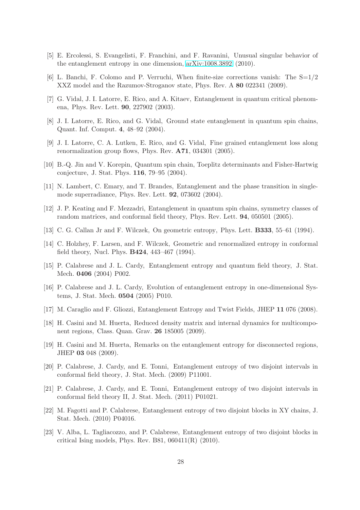- <span id="page-29-18"></span><span id="page-29-0"></span>[5] E. Ercolessi, S. Evangelisti, F. Franchini, and F. Ravanini, Unusual singular behavior of the entanglement entropy in one dimension, [arXiv:1008.3892](http://arxiv.org/abs/1008.3892) (2010).
- <span id="page-29-1"></span>[6] L. Banchi, F. Colomo and P. Verruchi, When finite-size corrections vanish: The  $S=1/2$ XXZ model and the Razumov-Stroganov state, Phys. Rev. A 80 022341 (2009).
- <span id="page-29-2"></span>[7] G. Vidal, J. I. Latorre, E. Rico, and A. Kitaev, Entanglement in quantum critical phenomena, Phys. Rev. Lett. 90, 227902 (2003).
- <span id="page-29-3"></span>[8] J. I. Latorre, E. Rico, and G. Vidal, Ground state entanglement in quantum spin chains, Quant. Inf. Comput. 4, 48–92 (2004).
- <span id="page-29-4"></span>[9] J. I. Latorre, C. A. Lutken, E. Rico, and G. Vidal, Fine grained entanglement loss along renormalization group flows, Phys. Rev. A71, 034301 (2005).
- <span id="page-29-5"></span>[10] B.-Q. Jin and V. Korepin, Quantum spin chain, Toeplitz determinants and Fisher-Hartwig conjecture, J. Stat. Phys. 116, 79–95 (2004).
- [11] N. Lambert, C. Emary, and T. Brandes, Entanglement and the phase transition in singlemode superradiance, Phys. Rev. Lett. 92, 073602 (2004).
- <span id="page-29-6"></span>[12] J. P. Keating and F. Mezzadri, Entanglement in quantum spin chains, symmetry classes of random matrices, and conformal field theory, Phys. Rev. Lett. 94, 050501 (2005).
- <span id="page-29-8"></span><span id="page-29-7"></span>[13] C. G. Callan Jr and F. Wilczek, On geometric entropy, Phys. Lett. **B333**, 55–61 (1994).
- [14] C. Holzhey, F. Larsen, and F. Wilczek, Geometric and renormalized entropy in conformal field theory, Nucl. Phys. B424, 443–467 (1994).
- <span id="page-29-9"></span>[15] P. Calabrese and J. L. Cardy, Entanglement entropy and quantum field theory, J. Stat. Mech. 0406 (2004) P002.
- <span id="page-29-10"></span>[16] P. Calabrese and J. L. Cardy, Evolution of entanglement entropy in one-dimensional Systems, J. Stat. Mech. 0504 (2005) P010.
- <span id="page-29-12"></span><span id="page-29-11"></span>[17] M. Caraglio and F. Gliozzi, Entanglement Entropy and Twist Fields, JHEP 11 076 (2008).
- [18] H. Casini and M. Huerta, Reduced density matrix and internal dynamics for multicomponent regions, Class. Quan. Grav. 26 185005 (2009).
- <span id="page-29-13"></span>[19] H. Casini and M. Huerta, Remarks on the entanglement entropy for disconnected regions, JHEP 03 048 (2009).
- <span id="page-29-14"></span>[20] P. Calabrese, J. Cardy, and E. Tonni, Entanglement entropy of two disjoint intervals in conformal field theory, J. Stat. Mech. (2009) P11001.
- <span id="page-29-15"></span>[21] P. Calabrese, J. Cardy, and E. Tonni, Entanglement entropy of two disjoint intervals in conformal field theory II, J. Stat. Mech. (2011) P01021.
- <span id="page-29-16"></span>[22] M. Fagotti and P. Calabrese, Entanglement entropy of two disjoint blocks in XY chains, J. Stat. Mech. (2010) P04016.
- <span id="page-29-17"></span>[23] V. Alba, L. Tagliacozzo, and P. Calabrese, Entanglement entropy of two disjoint blocks in critical Ising models, Phys. Rev. B81, 060411(R) (2010).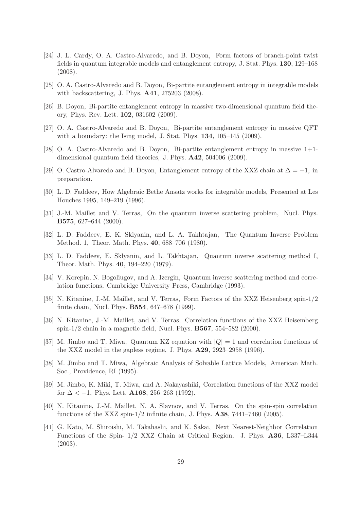- <span id="page-30-0"></span>[24] J. L. Cardy, O. A. Castro-Alvaredo, and B. Doyon, Form factors of branch-point twist fields in quantum integrable models and entanglement entropy, J. Stat. Phys. 130, 129–168 (2008).
- <span id="page-30-2"></span><span id="page-30-1"></span>[25] O. A. Castro-Alvaredo and B. Doyon, Bi-partite entanglement entropy in integrable models with backscattering, J. Phys. A41, 275203 (2008).
- <span id="page-30-3"></span>[26] B. Doyon, Bi-partite entanglement entropy in massive two-dimensional quantum field theory, Phys. Rev. Lett. 102, 031602 (2009).
- <span id="page-30-4"></span>[27] O. A. Castro-Alvaredo and B. Doyon, Bi-partite entanglement entropy in massive QFT with a boundary: the Ising model, J. Stat. Phys.  $134$ ,  $105-145$   $(2009)$ .
- <span id="page-30-5"></span>[28] O. A. Castro-Alvaredo and B. Doyon, Bi-partite entanglement entropy in massive 1+1 dimensional quantum field theories, J. Phys. A42, 504006 (2009).
- <span id="page-30-6"></span>[29] O. Castro-Alvaredo and B. Doyon, Entanglement entropy of the XXZ chain at  $\Delta = -1$ , in preparation.
- <span id="page-30-7"></span>[30] L. D. Faddeev, How Algebraic Bethe Ansatz works for integrable models, Presented at Les Houches 1995, 149–219 (1996).
- <span id="page-30-8"></span>[31] J.-M. Maillet and V. Terras, On the quantum inverse scattering problem, Nucl. Phys. B575, 627–644 (2000).
- <span id="page-30-9"></span>[32] L. D. Faddeev, E. K. Sklyanin, and L. A. Takhtajan, The Quantum Inverse Problem Method. 1, Theor. Math. Phys. 40, 688–706 (1980).
- [33] L. D. Faddeev, E. Sklyanin, and L. Takhtajan, Quantum inverse scattering method I, Theor. Math. Phys. 40, 194–220 (1979).
- <span id="page-30-11"></span><span id="page-30-10"></span>[34] V. Korepin, N. Bogoliugov, and A. Izergin, Quantum inverse scattering method and correlation functions, Cambridge University Press, Cambridge (1993).
- [35] N. Kitanine, J.-M. Maillet, and V. Terras, Form Factors of the XXZ Heisenberg spin-1/2 finite chain, Nucl. Phys. B554, 647–678 (1999).
- <span id="page-30-12"></span>[36] N. Kitanine, J.-M. Maillet, and V. Terras, Correlation functions of the XXZ Heisemberg spin- $1/2$  chain in a magnetic field, Nucl. Phys. **B567**, 554–582 (2000).
- <span id="page-30-13"></span>[37] M. Jimbo and T. Miwa, Quantum KZ equation with  $|Q| = 1$  and correlation functions of the XXZ model in the gapless regime, J. Phys. A29, 2923–2958 (1996).
- <span id="page-30-14"></span>[38] M. Jimbo and T. Miwa, Algebraic Analysis of Solvable Lattice Models, American Math. Soc., Providence, RI (1995).
- <span id="page-30-15"></span>[39] M. Jimbo, K. Miki, T. Miwa, and A. Nakayashiki, Correlation functions of the XXZ model for  $\Delta < -1$ , Phys. Lett. **A168**, 256–263 (1992).
- <span id="page-30-16"></span>[40] N. Kitanine, J.-M. Maillet, N. A. Slavnov, and V. Terras, On the spin-spin correlation functions of the XXZ spin- $1/2$  infinite chain, J. Phys.  $\mathbf{A38}$ , 7441–7460 (2005).
- <span id="page-30-17"></span>[41] G. Kato, M. Shiroishi, M. Takahashi, and K. Sakai, Next Nearest-Neighbor Correlation Functions of the Spin- 1/2 XXZ Chain at Critical Region, J. Phys. A36, L337–L344 (2003).